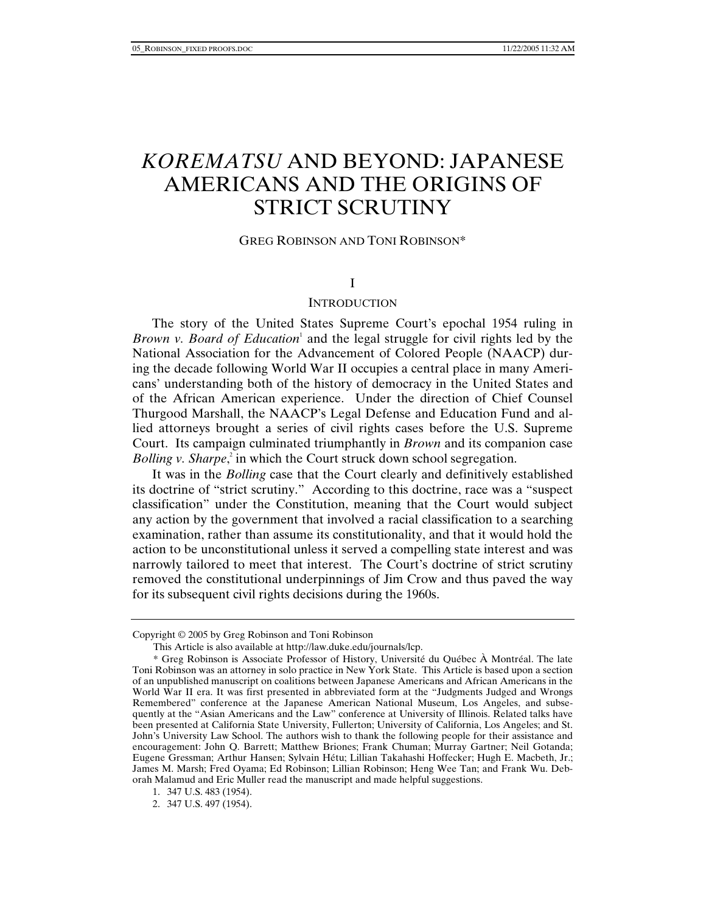# *KOREMATSU* AND BEYOND: JAPANESE AMERICANS AND THE ORIGINS OF STRICT SCRUTINY

# GREG ROBINSON AND TONI ROBINSON\*

# I

# **INTRODUCTION**

The story of the United States Supreme Court's epochal 1954 ruling in Brown v. Board of Education<sup>1</sup> and the legal struggle for civil rights led by the National Association for the Advancement of Colored People (NAACP) during the decade following World War II occupies a central place in many Americans' understanding both of the history of democracy in the United States and of the African American experience. Under the direction of Chief Counsel Thurgood Marshall, the NAACP's Legal Defense and Education Fund and allied attorneys brought a series of civil rights cases before the U.S. Supreme Court. Its campaign culminated triumphantly in *Brown* and its companion case *Bolling v. Sharpe*,<sup>2</sup> in which the Court struck down school segregation.

It was in the *Bolling* case that the Court clearly and definitively established its doctrine of "strict scrutiny." According to this doctrine, race was a "suspect classification" under the Constitution, meaning that the Court would subject any action by the government that involved a racial classification to a searching examination, rather than assume its constitutionality, and that it would hold the action to be unconstitutional unless it served a compelling state interest and was narrowly tailored to meet that interest. The Court's doctrine of strict scrutiny removed the constitutional underpinnings of Jim Crow and thus paved the way for its subsequent civil rights decisions during the 1960s.

Copyright © 2005 by Greg Robinson and Toni Robinson

This Article is also available at http://law.duke.edu/journals/lcp.

<sup>\*</sup> Greg Robinson is Associate Professor of History, Université du Québec À Montréal. The late Toni Robinson was an attorney in solo practice in New York State. This Article is based upon a section of an unpublished manuscript on coalitions between Japanese Americans and African Americans in the World War II era. It was first presented in abbreviated form at the "Judgments Judged and Wrongs Remembered" conference at the Japanese American National Museum, Los Angeles, and subsequently at the "Asian Americans and the Law" conference at University of Illinois. Related talks have been presented at California State University, Fullerton; University of California, Los Angeles; and St. John's University Law School. The authors wish to thank the following people for their assistance and encouragement: John Q. Barrett; Matthew Briones; Frank Chuman; Murray Gartner; Neil Gotanda; Eugene Gressman; Arthur Hansen; Sylvain Hétu; Lillian Takahashi Hoffecker; Hugh E. Macbeth, Jr.; James M. Marsh; Fred Oyama; Ed Robinson; Lillian Robinson; Heng Wee Tan; and Frank Wu. Deborah Malamud and Eric Muller read the manuscript and made helpful suggestions.

 <sup>1. 347</sup> U.S. 483 (1954).

 <sup>2. 347</sup> U.S. 497 (1954).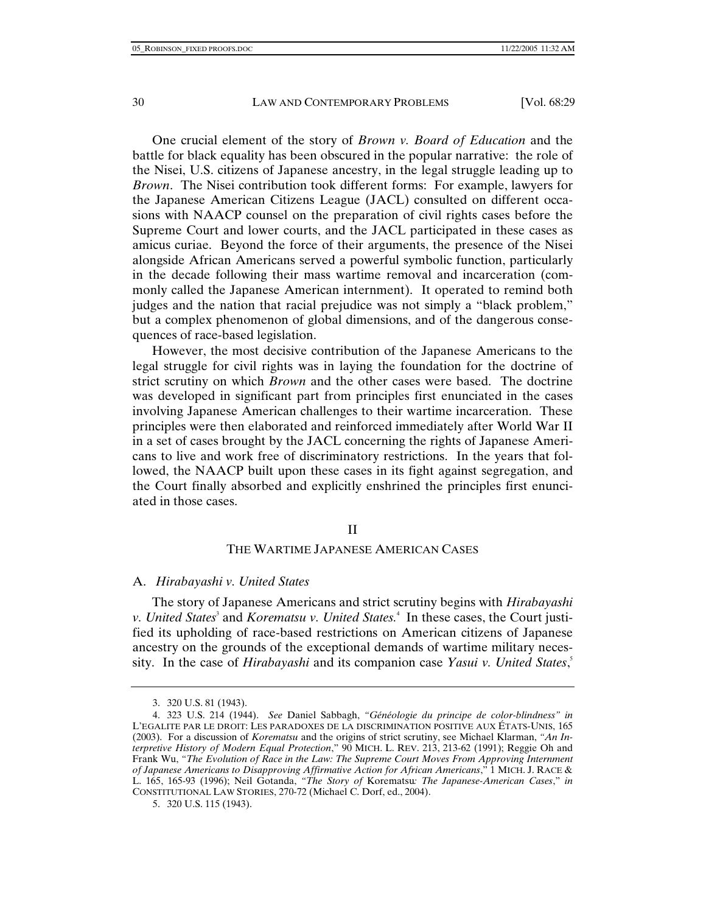One crucial element of the story of *Brown v. Board of Education* and the battle for black equality has been obscured in the popular narrative: the role of the Nisei, U.S. citizens of Japanese ancestry, in the legal struggle leading up to *Brown*. The Nisei contribution took different forms: For example, lawyers for the Japanese American Citizens League (JACL) consulted on different occasions with NAACP counsel on the preparation of civil rights cases before the Supreme Court and lower courts, and the JACL participated in these cases as amicus curiae. Beyond the force of their arguments, the presence of the Nisei alongside African Americans served a powerful symbolic function, particularly in the decade following their mass wartime removal and incarceration (commonly called the Japanese American internment). It operated to remind both judges and the nation that racial prejudice was not simply a "black problem," but a complex phenomenon of global dimensions, and of the dangerous consequences of race-based legislation.

However, the most decisive contribution of the Japanese Americans to the legal struggle for civil rights was in laying the foundation for the doctrine of strict scrutiny on which *Brown* and the other cases were based. The doctrine was developed in significant part from principles first enunciated in the cases involving Japanese American challenges to their wartime incarceration. These principles were then elaborated and reinforced immediately after World War II in a set of cases brought by the JACL concerning the rights of Japanese Americans to live and work free of discriminatory restrictions. In the years that followed, the NAACP built upon these cases in its fight against segregation, and the Court finally absorbed and explicitly enshrined the principles first enunciated in those cases.

## II

# THE WARTIME JAPANESE AMERICAN CASES

## A. *Hirabayashi v. United States*

The story of Japanese Americans and strict scrutiny begins with *Hirabayashi v. United States*<sup>3</sup> and *Korematsu v. United States*.<sup>4</sup> In these cases, the Court justified its upholding of race-based restrictions on American citizens of Japanese ancestry on the grounds of the exceptional demands of wartime military necessity. In the case of *Hirabayashi* and its companion case *Yasui v. United States*, 5

 <sup>3. 320</sup> U.S. 81 (1943).

 <sup>4. 323</sup> U.S. 214 (1944). *See* Daniel Sabbagh, *"Généologie du principe de color-blindness" in* L'EGALITE PAR LE DROIT: LES PARADOXES DE LA DISCRIMINATION POSITIVE AUX ÉTATS-UNIS, 165 (2003). For a discussion of *Korematsu* and the origins of strict scrutiny, see Michael Klarman, *"An Interpretive History of Modern Equal Protection*," 90 MICH. L. REV. 213, 213-62 (1991); Reggie Oh and Frank Wu, *"The Evolution of Race in the Law: The Supreme Court Moves From Approving Internment of Japanese Americans to Disapproving Affirmative Action for African Americans*," 1 MICH. J. RACE & L. 165, 165-93 (1996); Neil Gotanda, *"The Story of* Korematsu*: The Japanese-American Cases*," *in* CONSTITUTIONAL LAW STORIES, 270-72 (Michael C. Dorf, ed., 2004).

 <sup>5. 320</sup> U.S. 115 (1943).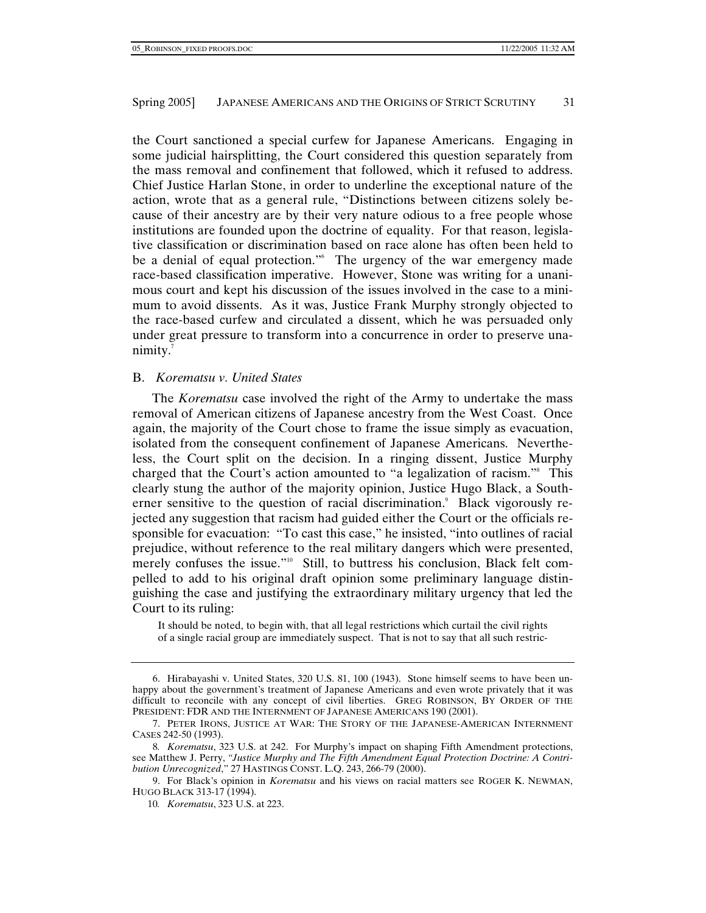the Court sanctioned a special curfew for Japanese Americans. Engaging in some judicial hairsplitting, the Court considered this question separately from the mass removal and confinement that followed, which it refused to address. Chief Justice Harlan Stone, in order to underline the exceptional nature of the action, wrote that as a general rule, "Distinctions between citizens solely because of their ancestry are by their very nature odious to a free people whose institutions are founded upon the doctrine of equality. For that reason, legislative classification or discrimination based on race alone has often been held to be a denial of equal protection."6 The urgency of the war emergency made race-based classification imperative. However, Stone was writing for a unanimous court and kept his discussion of the issues involved in the case to a minimum to avoid dissents. As it was, Justice Frank Murphy strongly objected to the race-based curfew and circulated a dissent, which he was persuaded only under great pressure to transform into a concurrence in order to preserve unanimity. $7$ 

# B. *Korematsu v. United States*

The *Korematsu* case involved the right of the Army to undertake the mass removal of American citizens of Japanese ancestry from the West Coast. Once again, the majority of the Court chose to frame the issue simply as evacuation, isolated from the consequent confinement of Japanese Americans. Nevertheless, the Court split on the decision. In a ringing dissent, Justice Murphy charged that the Court's action amounted to "a legalization of racism."8 This clearly stung the author of the majority opinion, Justice Hugo Black, a Southerner sensitive to the question of racial discrimination.<sup>9</sup> Black vigorously rejected any suggestion that racism had guided either the Court or the officials responsible for evacuation: "To cast this case," he insisted, "into outlines of racial prejudice, without reference to the real military dangers which were presented, merely confuses the issue."<sup>10</sup> Still, to buttress his conclusion, Black felt compelled to add to his original draft opinion some preliminary language distinguishing the case and justifying the extraordinary military urgency that led the Court to its ruling:

It should be noted, to begin with, that all legal restrictions which curtail the civil rights of a single racial group are immediately suspect. That is not to say that all such restric-

 <sup>6.</sup> Hirabayashi v. United States, 320 U.S. 81, 100 (1943). Stone himself seems to have been unhappy about the government's treatment of Japanese Americans and even wrote privately that it was difficult to reconcile with any concept of civil liberties. GREG ROBINSON, BY ORDER OF THE PRESIDENT: FDR AND THE INTERNMENT OF JAPANESE AMERICANS 190 (2001).

 <sup>7.</sup> PETER IRONS, JUSTICE AT WAR: THE STORY OF THE JAPANESE-AMERICAN INTERNMENT CASES 242-50 (1993).

<sup>8</sup>*. Korematsu*, 323 U.S. at 242. For Murphy's impact on shaping Fifth Amendment protections, see Matthew J. Perry, *"Justice Murphy and The Fifth Amendment Equal Protection Doctrine: A Contribution Unrecognized*," 27 HASTINGS CONST. L.Q. 243, 266-79 (2000).

 <sup>9.</sup> For Black's opinion in *Korematsu* and his views on racial matters see ROGER K. NEWMAN, HUGO BLACK 313-17 (1994).

<sup>10</sup>*. Korematsu*, 323 U.S. at 223.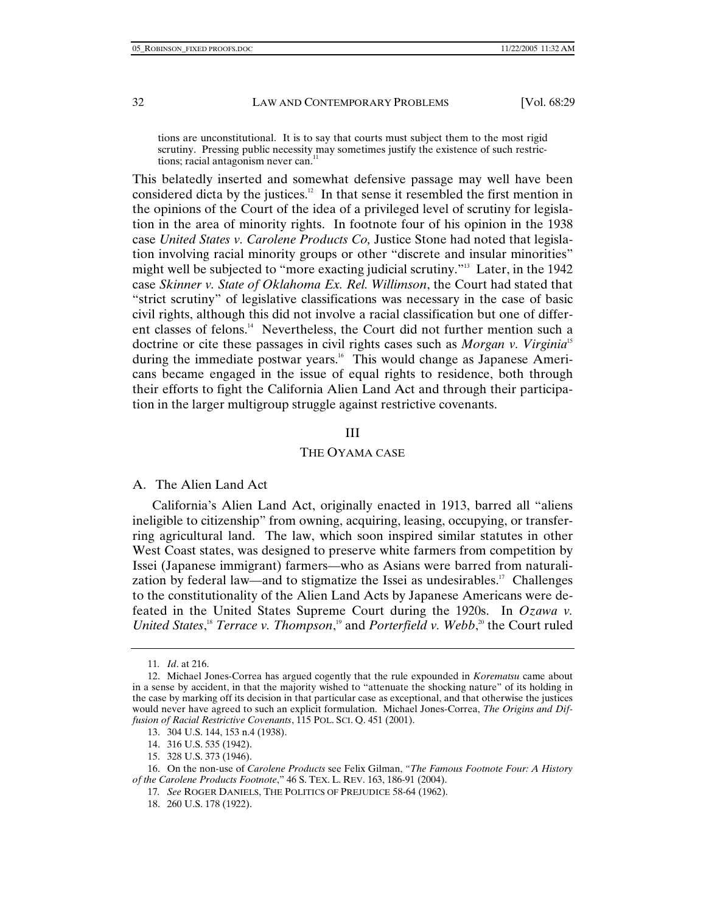tions are unconstitutional. It is to say that courts must subject them to the most rigid scrutiny. Pressing public necessity may sometimes justify the existence of such restrictions; racial antagonism never can.<sup>1</sup>

This belatedly inserted and somewhat defensive passage may well have been considered dicta by the justices.<sup>12</sup> In that sense it resembled the first mention in the opinions of the Court of the idea of a privileged level of scrutiny for legislation in the area of minority rights. In footnote four of his opinion in the 1938 case *United States v. Carolene Products Co,* Justice Stone had noted that legislation involving racial minority groups or other "discrete and insular minorities" might well be subjected to "more exacting judicial scrutiny."13 Later, in the 1942 case *Skinner v. State of Oklahoma Ex. Rel. Willimson*, the Court had stated that "strict scrutiny" of legislative classifications was necessary in the case of basic civil rights, although this did not involve a racial classification but one of different classes of felons.<sup>14</sup> Nevertheless, the Court did not further mention such a doctrine or cite these passages in civil rights cases such as *Morgan v. Virginia*<sup>15</sup> during the immediate postwar years.<sup>16</sup> This would change as Japanese Americans became engaged in the issue of equal rights to residence, both through their efforts to fight the California Alien Land Act and through their participation in the larger multigroup struggle against restrictive covenants.

#### III

# THE OYAMA CASE

## A. The Alien Land Act

California's Alien Land Act, originally enacted in 1913, barred all "aliens ineligible to citizenship" from owning, acquiring, leasing, occupying, or transferring agricultural land. The law, which soon inspired similar statutes in other West Coast states, was designed to preserve white farmers from competition by Issei (Japanese immigrant) farmers—who as Asians were barred from naturalization by federal law—and to stigmatize the Issei as undesirables.<sup>17</sup> Challenges to the constitutionality of the Alien Land Acts by Japanese Americans were defeated in the United States Supreme Court during the 1920s. In *Ozawa v. United States*,<sup>18</sup> *Terrace v. Thompson*,<sup>19</sup> and *Porterfield v. Webb*,<sup>20</sup> the Court ruled

15. 328 U.S. 373 (1946).

<sup>11</sup>*. Id*. at 216.

 <sup>12.</sup> Michael Jones-Correa has argued cogently that the rule expounded in *Korematsu* came about in a sense by accident, in that the majority wished to "attenuate the shocking nature" of its holding in the case by marking off its decision in that particular case as exceptional, and that otherwise the justices would never have agreed to such an explicit formulation. Michael Jones-Correa, *The Origins and Diffusion of Racial Restrictive Covenants*, 115 POL. SCI. Q. 451 (2001).

 <sup>13. 304</sup> U.S. 144, 153 n.4 (1938).

 <sup>14. 316</sup> U.S. 535 (1942).

 <sup>16.</sup> On the non-use of *Carolene Products* see Felix Gilman, *"The Famous Footnote Four: A History of the Carolene Products Footnote*," 46 S. TEX. L. REV. 163, 186-91 (2004).

<sup>17</sup>*. See* ROGER DANIELS, THE POLITICS OF PREJUDICE 58-64 (1962).

 <sup>18. 260</sup> U.S. 178 (1922).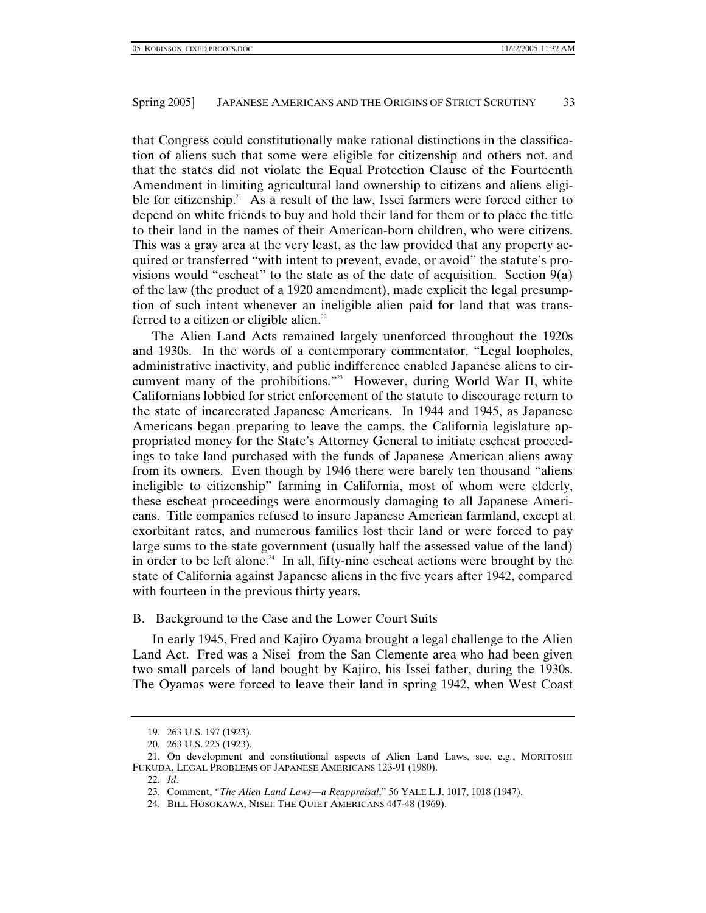that Congress could constitutionally make rational distinctions in the classification of aliens such that some were eligible for citizenship and others not, and that the states did not violate the Equal Protection Clause of the Fourteenth Amendment in limiting agricultural land ownership to citizens and aliens eligible for citizenship.<sup>21</sup> As a result of the law, Issei farmers were forced either to depend on white friends to buy and hold their land for them or to place the title to their land in the names of their American-born children, who were citizens. This was a gray area at the very least, as the law provided that any property acquired or transferred "with intent to prevent, evade, or avoid" the statute's provisions would "escheat" to the state as of the date of acquisition. Section  $9(a)$ of the law (the product of a 1920 amendment), made explicit the legal presumption of such intent whenever an ineligible alien paid for land that was transferred to a citizen or eligible alien. $22$ 

The Alien Land Acts remained largely unenforced throughout the 1920s and 1930s. In the words of a contemporary commentator, "Legal loopholes, administrative inactivity, and public indifference enabled Japanese aliens to circumvent many of the prohibitions."<sup>23</sup> However, during World War II, white Californians lobbied for strict enforcement of the statute to discourage return to the state of incarcerated Japanese Americans. In 1944 and 1945, as Japanese Americans began preparing to leave the camps, the California legislature appropriated money for the State's Attorney General to initiate escheat proceedings to take land purchased with the funds of Japanese American aliens away from its owners. Even though by 1946 there were barely ten thousand "aliens ineligible to citizenship" farming in California, most of whom were elderly, these escheat proceedings were enormously damaging to all Japanese Americans. Title companies refused to insure Japanese American farmland, except at exorbitant rates, and numerous families lost their land or were forced to pay large sums to the state government (usually half the assessed value of the land) in order to be left alone.<sup>24</sup> In all, fifty-nine escheat actions were brought by the state of California against Japanese aliens in the five years after 1942, compared with fourteen in the previous thirty years.

B. Background to the Case and the Lower Court Suits

In early 1945, Fred and Kajiro Oyama brought a legal challenge to the Alien Land Act. Fred was a Nisei from the San Clemente area who had been given two small parcels of land bought by Kajiro, his Issei father, during the 1930s. The Oyamas were forced to leave their land in spring 1942, when West Coast

22*. Id*.

 <sup>19. 263</sup> U.S. 197 (1923).

 <sup>20. 263</sup> U.S. 225 (1923).

 <sup>21.</sup> On development and constitutional aspects of Alien Land Laws, see, e.g*.*, MORITOSHI FUKUDA, LEGAL PROBLEMS OF JAPANESE AMERICANS 123-91 (1980).

 <sup>23.</sup> Comment, *"The Alien Land Laws—a Reappraisal*," 56 YALE L.J. 1017, 1018 (1947).

 <sup>24.</sup> BILL HOSOKAWA, NISEI: THE QUIET AMERICANS 447-48 (1969).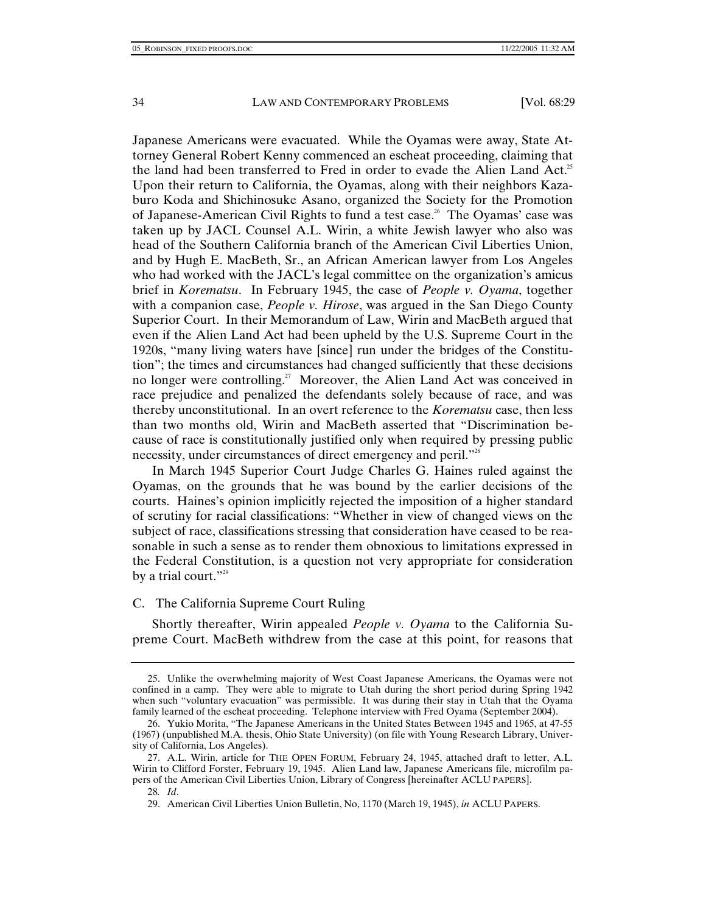Japanese Americans were evacuated. While the Oyamas were away, State Attorney General Robert Kenny commenced an escheat proceeding, claiming that the land had been transferred to Fred in order to evade the Alien Land Act.<sup>25</sup> Upon their return to California, the Oyamas, along with their neighbors Kazaburo Koda and Shichinosuke Asano, organized the Society for the Promotion of Japanese-American Civil Rights to fund a test case.<sup>26</sup> The Oyamas' case was taken up by JACL Counsel A.L. Wirin, a white Jewish lawyer who also was head of the Southern California branch of the American Civil Liberties Union, and by Hugh E. MacBeth, Sr., an African American lawyer from Los Angeles who had worked with the JACL's legal committee on the organization's amicus brief in *Korematsu*. In February 1945, the case of *People v. Oyama*, together with a companion case, *People v. Hirose*, was argued in the San Diego County Superior Court. In their Memorandum of Law, Wirin and MacBeth argued that even if the Alien Land Act had been upheld by the U.S. Supreme Court in the 1920s, "many living waters have [since] run under the bridges of the Constitution"; the times and circumstances had changed sufficiently that these decisions no longer were controlling.<sup>27</sup> Moreover, the Alien Land Act was conceived in race prejudice and penalized the defendants solely because of race, and was thereby unconstitutional. In an overt reference to the *Korematsu* case, then less than two months old, Wirin and MacBeth asserted that "Discrimination because of race is constitutionally justified only when required by pressing public necessity, under circumstances of direct emergency and peril."28

In March 1945 Superior Court Judge Charles G. Haines ruled against the Oyamas, on the grounds that he was bound by the earlier decisions of the courts. Haines's opinion implicitly rejected the imposition of a higher standard of scrutiny for racial classifications: "Whether in view of changed views on the subject of race, classifications stressing that consideration have ceased to be reasonable in such a sense as to render them obnoxious to limitations expressed in the Federal Constitution, is a question not very appropriate for consideration by a trial court."<sup>29</sup>

# C. The California Supreme Court Ruling

Shortly thereafter, Wirin appealed *People v. Oyama* to the California Supreme Court. MacBeth withdrew from the case at this point, for reasons that

 <sup>25.</sup> Unlike the overwhelming majority of West Coast Japanese Americans, the Oyamas were not confined in a camp. They were able to migrate to Utah during the short period during Spring 1942 when such "voluntary evacuation" was permissible. It was during their stay in Utah that the Oyama family learned of the escheat proceeding. Telephone interview with Fred Oyama (September 2004).

 <sup>26.</sup> Yukio Morita, "The Japanese Americans in the United States Between 1945 and 1965, at 47-55 (1967) (unpublished M.A. thesis, Ohio State University) (on file with Young Research Library, University of California, Los Angeles).

 <sup>27.</sup> A.L. Wirin, article for THE OPEN FORUM, February 24, 1945, attached draft to letter, A.L. Wirin to Clifford Forster, February 19, 1945. Alien Land law, Japanese Americans file, microfilm papers of the American Civil Liberties Union, Library of Congress [hereinafter ACLU PAPERS].

<sup>28</sup>*. Id*.

 <sup>29.</sup> American Civil Liberties Union Bulletin, No, 1170 (March 19, 1945), *in* ACLU PAPERS.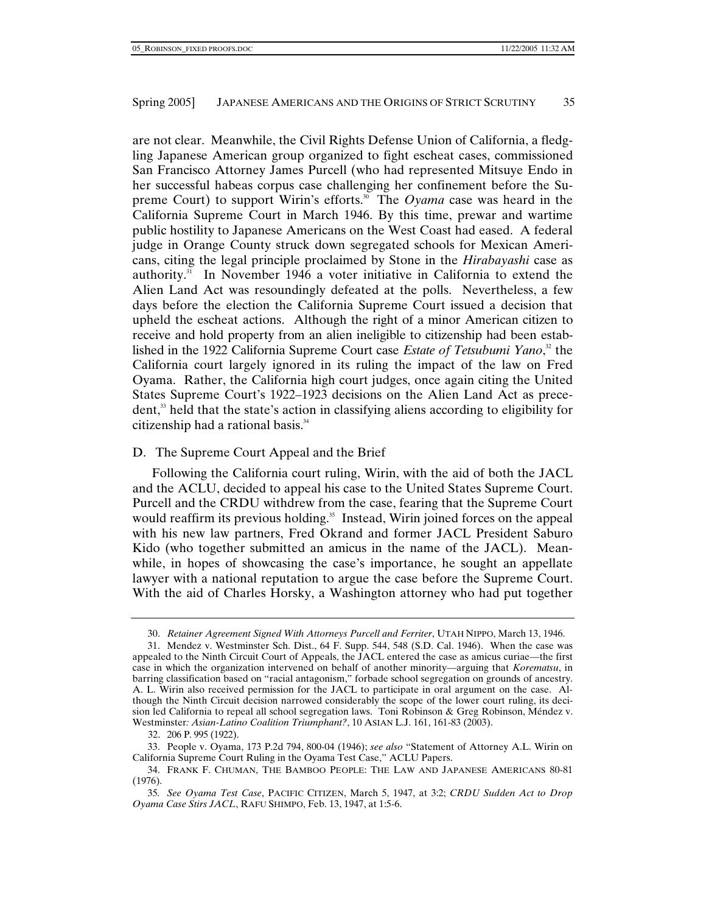are not clear. Meanwhile, the Civil Rights Defense Union of California, a fledgling Japanese American group organized to fight escheat cases, commissioned San Francisco Attorney James Purcell (who had represented Mitsuye Endo in her successful habeas corpus case challenging her confinement before the Supreme Court) to support Wirin's efforts.<sup>30</sup> The *Oyama* case was heard in the California Supreme Court in March 1946. By this time, prewar and wartime public hostility to Japanese Americans on the West Coast had eased. A federal judge in Orange County struck down segregated schools for Mexican Americans, citing the legal principle proclaimed by Stone in the *Hirabayashi* case as authority.<sup>31</sup> In November 1946 a voter initiative in California to extend the Alien Land Act was resoundingly defeated at the polls. Nevertheless, a few days before the election the California Supreme Court issued a decision that upheld the escheat actions. Although the right of a minor American citizen to receive and hold property from an alien ineligible to citizenship had been established in the 1922 California Supreme Court case *Estate of Tetsubumi Yano*,<sup>32</sup> the California court largely ignored in its ruling the impact of the law on Fred Oyama. Rather, the California high court judges, once again citing the United States Supreme Court's 1922–1923 decisions on the Alien Land Act as precedent,<sup>33</sup> held that the state's action in classifying aliens according to eligibility for citizenship had a rational basis.<sup>34</sup>

# D. The Supreme Court Appeal and the Brief

Following the California court ruling, Wirin, with the aid of both the JACL and the ACLU, decided to appeal his case to the United States Supreme Court. Purcell and the CRDU withdrew from the case, fearing that the Supreme Court would reaffirm its previous holding.<sup>35</sup> Instead, Wirin joined forces on the appeal with his new law partners, Fred Okrand and former JACL President Saburo Kido (who together submitted an amicus in the name of the JACL). Meanwhile, in hopes of showcasing the case's importance, he sought an appellate lawyer with a national reputation to argue the case before the Supreme Court. With the aid of Charles Horsky, a Washington attorney who had put together

 <sup>30.</sup> *Retainer Agreement Signed With Attorneys Purcell and Ferriter*, UTAH NIPPO, March 13, 1946.

 <sup>31.</sup> Mendez v. Westminster Sch. Dist., 64 F. Supp. 544, 548 (S.D. Cal. 1946). When the case was appealed to the Ninth Circuit Court of Appeals, the JACL entered the case as amicus curiae—the first case in which the organization intervened on behalf of another minority—arguing that *Korematsu*, in barring classification based on "racial antagonism," forbade school segregation on grounds of ancestry. A. L. Wirin also received permission for the JACL to participate in oral argument on the case. Although the Ninth Circuit decision narrowed considerably the scope of the lower court ruling, its decision led California to repeal all school segregation laws. Toni Robinson & Greg Robinson, Méndez v. Westminster*: Asian-Latino Coalition Triumphant?*, 10 ASIAN L.J. 161, 161-83 (2003).

 <sup>32. 206</sup> P. 995 (1922).

 <sup>33.</sup> People v. Oyama, 173 P.2d 794, 800-04 (1946); *see also* "Statement of Attorney A.L. Wirin on California Supreme Court Ruling in the Oyama Test Case," ACLU Papers.

 <sup>34.</sup> FRANK F. CHUMAN, THE BAMBOO PEOPLE: THE LAW AND JAPANESE AMERICANS 80-81 (1976).

<sup>35</sup>*. See Oyama Test Case*, PACIFIC CITIZEN, March 5, 1947, at 3:2; *CRDU Sudden Act to Drop Oyama Case Stirs JACL*, RAFU SHIMPO, Feb. 13, 1947, at 1:5-6.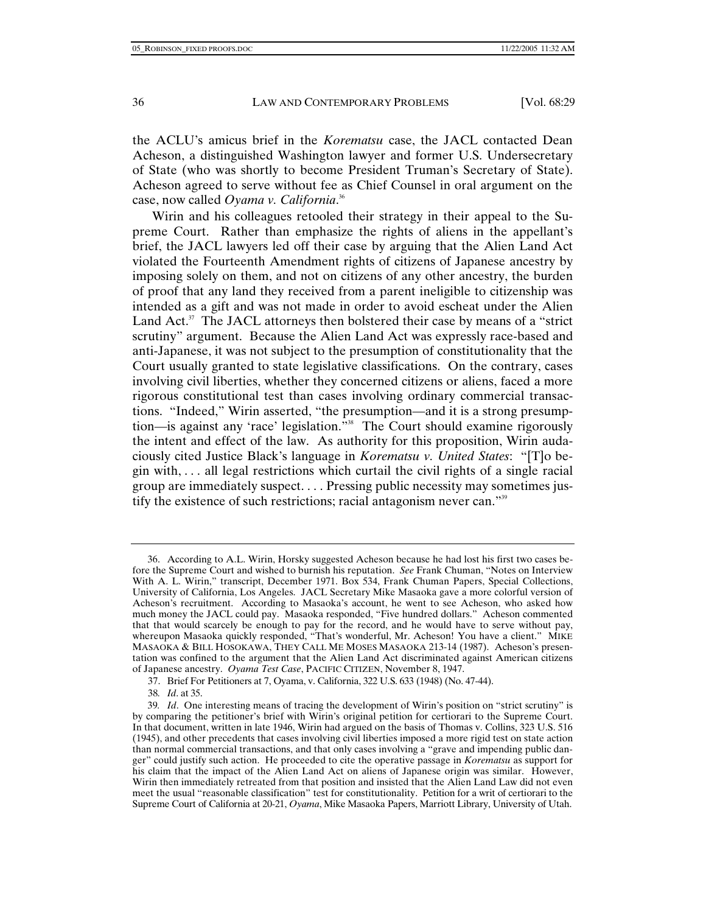the ACLU's amicus brief in the *Korematsu* case, the JACL contacted Dean Acheson, a distinguished Washington lawyer and former U.S. Undersecretary of State (who was shortly to become President Truman's Secretary of State). Acheson agreed to serve without fee as Chief Counsel in oral argument on the case, now called *Oyama v. California*. 36

Wirin and his colleagues retooled their strategy in their appeal to the Supreme Court. Rather than emphasize the rights of aliens in the appellant's brief, the JACL lawyers led off their case by arguing that the Alien Land Act violated the Fourteenth Amendment rights of citizens of Japanese ancestry by imposing solely on them, and not on citizens of any other ancestry, the burden of proof that any land they received from a parent ineligible to citizenship was intended as a gift and was not made in order to avoid escheat under the Alien Land Act.<sup>37</sup> The JACL attorneys then bolstered their case by means of a "strict" scrutiny" argument. Because the Alien Land Act was expressly race-based and anti-Japanese, it was not subject to the presumption of constitutionality that the Court usually granted to state legislative classifications. On the contrary, cases involving civil liberties, whether they concerned citizens or aliens, faced a more rigorous constitutional test than cases involving ordinary commercial transactions. "Indeed," Wirin asserted, "the presumption—and it is a strong presumption—is against any 'race' legislation."38 The Court should examine rigorously the intent and effect of the law. As authority for this proposition, Wirin audaciously cited Justice Black's language in *Korematsu v. United States*: "[T]o begin with, . . . all legal restrictions which curtail the civil rights of a single racial group are immediately suspect. . . . Pressing public necessity may sometimes justify the existence of such restrictions; racial antagonism never can."39

38*. Id*. at 35.

 <sup>36.</sup> According to A.L. Wirin, Horsky suggested Acheson because he had lost his first two cases before the Supreme Court and wished to burnish his reputation. *See* Frank Chuman, "Notes on Interview With A. L. Wirin," transcript, December 1971. Box 534, Frank Chuman Papers, Special Collections, University of California, Los Angeles. JACL Secretary Mike Masaoka gave a more colorful version of Acheson's recruitment. According to Masaoka's account, he went to see Acheson, who asked how much money the JACL could pay. Masaoka responded, "Five hundred dollars." Acheson commented that that would scarcely be enough to pay for the record, and he would have to serve without pay, whereupon Masaoka quickly responded, "That's wonderful, Mr. Acheson! You have a client." MIKE MASAOKA & BILL HOSOKAWA, THEY CALL ME MOSES MASAOKA 213-14 (1987). Acheson's presentation was confined to the argument that the Alien Land Act discriminated against American citizens of Japanese ancestry. *Oyama Test Case*, PACIFIC CITIZEN, November 8, 1947.

 <sup>37.</sup> Brief For Petitioners at 7, Oyama, v. California, 322 U.S. 633 (1948) (No. 47-44).

<sup>39</sup>*. Id*. One interesting means of tracing the development of Wirin's position on "strict scrutiny" is by comparing the petitioner's brief with Wirin's original petition for certiorari to the Supreme Court. In that document, written in late 1946, Wirin had argued on the basis of Thomas v. Collins, 323 U.S. 516 (1945), and other precedents that cases involving civil liberties imposed a more rigid test on state action than normal commercial transactions, and that only cases involving a "grave and impending public danger" could justify such action. He proceeded to cite the operative passage in *Korematsu* as support for his claim that the impact of the Alien Land Act on aliens of Japanese origin was similar. However, Wirin then immediately retreated from that position and insisted that the Alien Land Law did not even meet the usual "reasonable classification" test for constitutionality. Petition for a writ of certiorari to the Supreme Court of California at 20-21, *Oyama*, Mike Masaoka Papers, Marriott Library, University of Utah.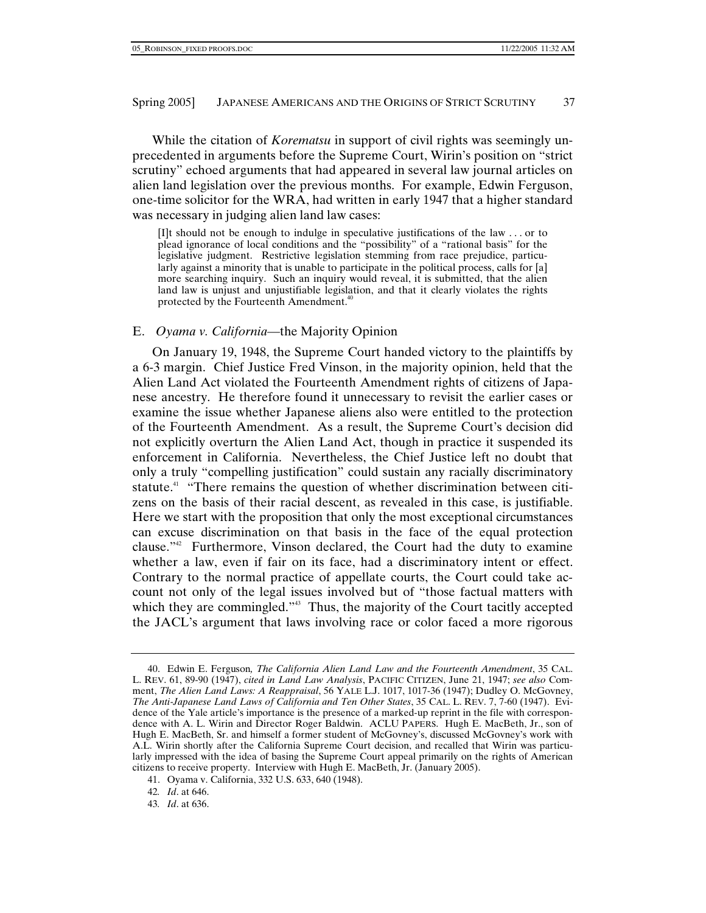While the citation of *Korematsu* in support of civil rights was seemingly unprecedented in arguments before the Supreme Court, Wirin's position on "strict scrutiny" echoed arguments that had appeared in several law journal articles on alien land legislation over the previous months. For example, Edwin Ferguson, one-time solicitor for the WRA, had written in early 1947 that a higher standard was necessary in judging alien land law cases:

[I]t should not be enough to indulge in speculative justifications of the law . . . or to plead ignorance of local conditions and the "possibility" of a "rational basis" for the legislative judgment. Restrictive legislation stemming from race prejudice, particularly against a minority that is unable to participate in the political process, calls for [a] more searching inquiry. Such an inquiry would reveal, it is submitted, that the alien land law is unjust and unjustifiable legislation, and that it clearly violates the rights protected by the Fourteenth Amendment.<sup>40</sup>

# E. *Oyama v. California—*the Majority Opinion

On January 19, 1948, the Supreme Court handed victory to the plaintiffs by a 6-3 margin. Chief Justice Fred Vinson, in the majority opinion, held that the Alien Land Act violated the Fourteenth Amendment rights of citizens of Japanese ancestry. He therefore found it unnecessary to revisit the earlier cases or examine the issue whether Japanese aliens also were entitled to the protection of the Fourteenth Amendment. As a result, the Supreme Court's decision did not explicitly overturn the Alien Land Act, though in practice it suspended its enforcement in California. Nevertheless, the Chief Justice left no doubt that only a truly "compelling justification" could sustain any racially discriminatory statute.<sup>41</sup> "There remains the question of whether discrimination between citizens on the basis of their racial descent, as revealed in this case, is justifiable. Here we start with the proposition that only the most exceptional circumstances can excuse discrimination on that basis in the face of the equal protection clause. $14^2$  Furthermore, Vinson declared, the Court had the duty to examine whether a law, even if fair on its face, had a discriminatory intent or effect. Contrary to the normal practice of appellate courts, the Court could take account not only of the legal issues involved but of "those factual matters with which they are commingled."<sup>43</sup> Thus, the majority of the Court tacitly accepted the JACL's argument that laws involving race or color faced a more rigorous

41. Oyama v. California, 332 U.S. 633, 640 (1948).

43*. Id*. at 636.

 <sup>40.</sup> Edwin E. Ferguson*, The California Alien Land Law and the Fourteenth Amendment*, 35 CAL. L. REV. 61, 89-90 (1947), *cited in Land Law Analysis*, PACIFIC CITIZEN, June 21, 1947; *see also* Comment, *The Alien Land Laws: A Reappraisal*, 56 YALE L.J. 1017, 1017-36 (1947); Dudley O. McGovney, *The Anti-Japanese Land Laws of California and Ten Other States*, 35 CAL. L. REV. 7, 7-60 (1947). Evidence of the Yale article's importance is the presence of a marked-up reprint in the file with correspondence with A. L. Wirin and Director Roger Baldwin. ACLU PAPERS. Hugh E. MacBeth, Jr., son of Hugh E. MacBeth, Sr. and himself a former student of McGovney's, discussed McGovney's work with A.L. Wirin shortly after the California Supreme Court decision, and recalled that Wirin was particularly impressed with the idea of basing the Supreme Court appeal primarily on the rights of American citizens to receive property. Interview with Hugh E. MacBeth, Jr. (January 2005).

<sup>42</sup>*. Id*. at 646.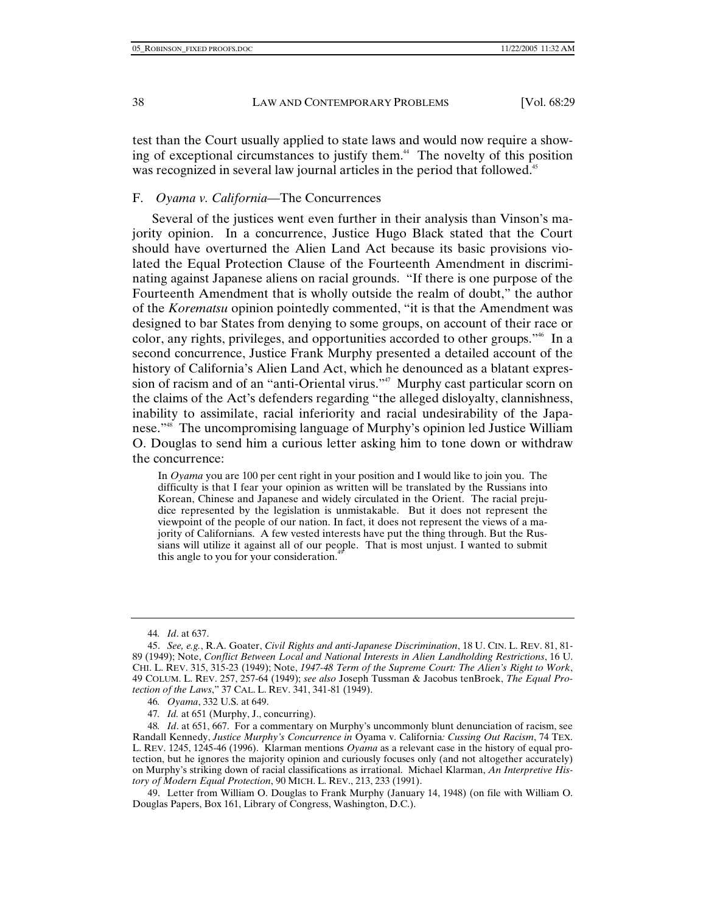test than the Court usually applied to state laws and would now require a showing of exceptional circumstances to justify them.<sup>44</sup> The novelty of this position was recognized in several law journal articles in the period that followed.<sup>45</sup>

# F. *Oyama v. California—*The Concurrences

Several of the justices went even further in their analysis than Vinson's majority opinion. In a concurrence, Justice Hugo Black stated that the Court should have overturned the Alien Land Act because its basic provisions violated the Equal Protection Clause of the Fourteenth Amendment in discriminating against Japanese aliens on racial grounds. "If there is one purpose of the Fourteenth Amendment that is wholly outside the realm of doubt," the author of the *Korematsu* opinion pointedly commented, "it is that the Amendment was designed to bar States from denying to some groups, on account of their race or color, any rights, privileges, and opportunities accorded to other groups."46 In a second concurrence, Justice Frank Murphy presented a detailed account of the history of California's Alien Land Act, which he denounced as a blatant expression of racism and of an "anti-Oriental virus."<sup>47</sup> Murphy cast particular scorn on the claims of the Act's defenders regarding "the alleged disloyalty, clannishness, inability to assimilate, racial inferiority and racial undesirability of the Japanese."48 The uncompromising language of Murphy's opinion led Justice William O. Douglas to send him a curious letter asking him to tone down or withdraw the concurrence:

In *Oyama* you are 100 per cent right in your position and I would like to join you. The difficulty is that I fear your opinion as written will be translated by the Russians into Korean, Chinese and Japanese and widely circulated in the Orient. The racial prejudice represented by the legislation is unmistakable. But it does not represent the viewpoint of the people of our nation. In fact, it does not represent the views of a majority of Californians. A few vested interests have put the thing through. But the Russians will utilize it against all of our people. That is most unjust. I wanted to submit this angle to you for your consideration.<sup>4</sup>

46*. Oyama*, 332 U.S. at 649.

47*. Id.* at 651 (Murphy, J., concurring).

48*. Id*. at 651, 667. For a commentary on Murphy's uncommonly blunt denunciation of racism, see Randall Kennedy, *Justice Murphy's Concurrence in* Oyama v. California*: Cussing Out Racism*, 74 TEX. L. REV. 1245, 1245-46 (1996). Klarman mentions *Oyama* as a relevant case in the history of equal protection, but he ignores the majority opinion and curiously focuses only (and not altogether accurately) on Murphy's striking down of racial classifications as irrational. Michael Klarman, *An Interpretive History of Modern Equal Protection*, 90 MICH. L. REV., 213, 233 (1991).

 49. Letter from William O. Douglas to Frank Murphy (January 14, 1948) (on file with William O. Douglas Papers, Box 161, Library of Congress, Washington, D.C.).

<sup>44</sup>*. Id*. at 637.

 <sup>45.</sup> *See, e.g.*, R.A. Goater, *Civil Rights and anti-Japanese Discrimination*, 18 U. CIN. L. REV. 81, 81- 89 (1949); Note, *Conflict Between Local and National Interests in Alien Landholding Restrictions*, 16 U. CHI. L. REV. 315, 315-23 (1949); Note, *1947-48 Term of the Supreme Court: The Alien's Right to Work*, 49 COLUM. L. REV. 257, 257-64 (1949); *see also* Joseph Tussman & Jacobus tenBroek, *The Equal Protection of the Laws*," 37 CAL. L. REV. 341, 341-81 (1949).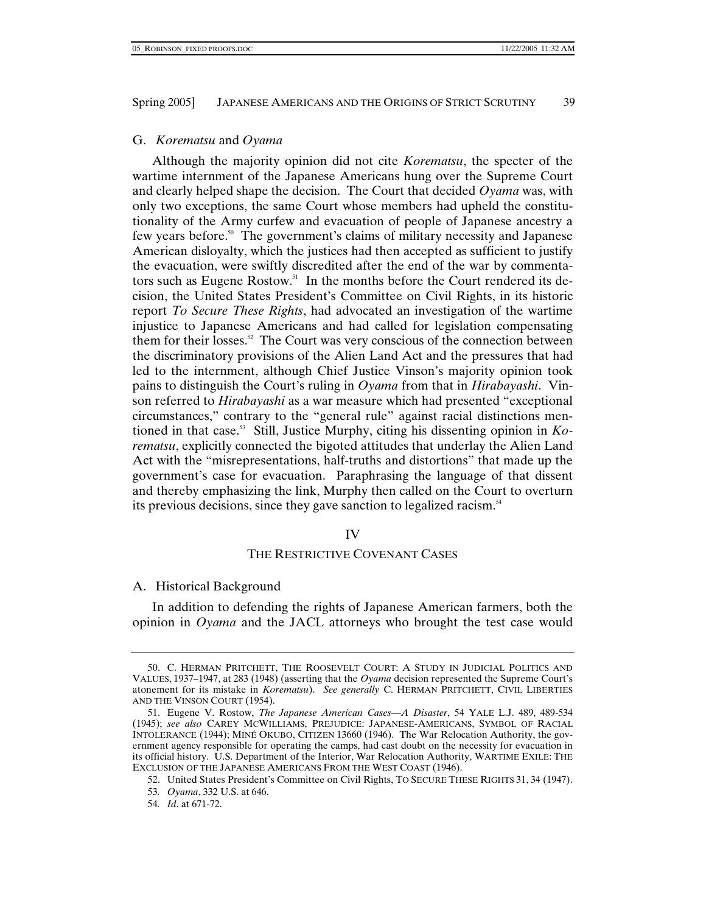## G. *Korematsu* and *Oyama*

Although the majority opinion did not cite *Korematsu*, the specter of the wartime internment of the Japanese Americans hung over the Supreme Court and clearly helped shape the decision. The Court that decided *Oyama* was, with only two exceptions, the same Court whose members had upheld the constitutionality of the Army curfew and evacuation of people of Japanese ancestry a few years before.50 The government's claims of military necessity and Japanese American disloyalty, which the justices had then accepted as sufficient to justify the evacuation, were swiftly discredited after the end of the war by commentators such as Eugene Rostow.<sup>51</sup> In the months before the Court rendered its decision, the United States President's Committee on Civil Rights, in its historic report *To Secure These Rights*, had advocated an investigation of the wartime injustice to Japanese Americans and had called for legislation compensating them for their losses.<sup>52</sup> The Court was very conscious of the connection between the discriminatory provisions of the Alien Land Act and the pressures that had led to the internment, although Chief Justice Vinson's majority opinion took pains to distinguish the Court's ruling in *Oyama* from that in *Hirabayashi*. Vinson referred to *Hirabayashi* as a war measure which had presented "exceptional circumstances," contrary to the "general rule" against racial distinctions mentioned in that case.<sup>53</sup> Still, Justice Murphy, citing his dissenting opinion in *Korematsu*, explicitly connected the bigoted attitudes that underlay the Alien Land Act with the "misrepresentations, half-truths and distortions" that made up the government's case for evacuation. Paraphrasing the language of that dissent and thereby emphasizing the link, Murphy then called on the Court to overturn its previous decisions, since they gave sanction to legalized racism.<sup>54</sup>

### IV

# THE RESTRICTIVE COVENANT CASES

# A. Historical Background

In addition to defending the rights of Japanese American farmers, both the opinion in *Oyama* and the JACL attorneys who brought the test case would

 <sup>50.</sup> C. HERMAN PRITCHETT, THE ROOSEVELT COURT: A STUDY IN JUDICIAL POLITICS AND VALUES, 1937–1947, at 283 (1948) (asserting that the *Oyama* decision represented the Supreme Court's atonement for its mistake in *Korematsu*). *See generally* C. HERMAN PRITCHETT, CIVIL LIBERTIES AND THE VINSON COURT (1954).

 <sup>51.</sup> Eugene V. Rostow, *The Japanese American Cases—A Disaster*, 54 YALE L.J. 489, 489-534 (1945); *see also* CAREY MCWILLIAMS, PREJUDICE: JAPANESE-AMERICANS, SYMBOL OF RACIAL INTOLERANCE (1944); MINÉ OKUBO, CITIZEN 13660 (1946). The War Relocation Authority, the government agency responsible for operating the camps, had cast doubt on the necessity for evacuation in its official history. U.S. Department of the Interior, War Relocation Authority, WARTIME EXILE: THE EXCLUSION OF THE JAPANESE AMERICANS FROM THE WEST COAST (1946).

 <sup>52.</sup> United States President's Committee on Civil Rights, TO SECURE THESE RIGHTS 31, 34 (1947).

<sup>53</sup>*. Oyama*, 332 U.S. at 646.

<sup>54</sup>*. Id*. at 671-72.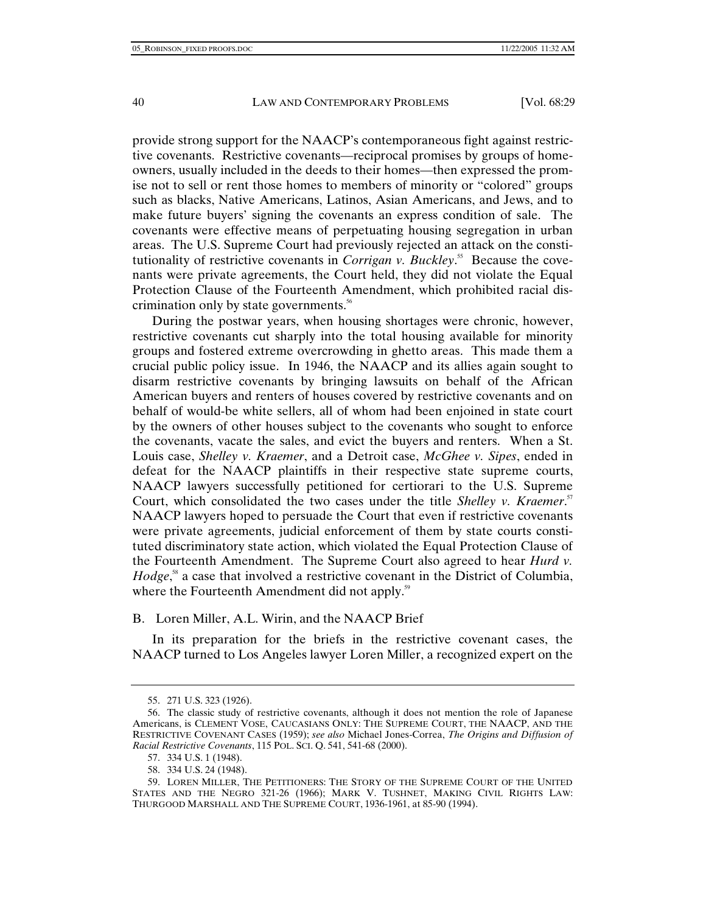provide strong support for the NAACP's contemporaneous fight against restrictive covenants. Restrictive covenants—reciprocal promises by groups of homeowners, usually included in the deeds to their homes—then expressed the promise not to sell or rent those homes to members of minority or "colored" groups such as blacks, Native Americans, Latinos, Asian Americans, and Jews, and to make future buyers' signing the covenants an express condition of sale. The covenants were effective means of perpetuating housing segregation in urban areas. The U.S. Supreme Court had previously rejected an attack on the constitutionality of restrictive covenants in *Corrigan v. Buckley*. 55 Because the covenants were private agreements, the Court held, they did not violate the Equal Protection Clause of the Fourteenth Amendment, which prohibited racial discrimination only by state governments.<sup>56</sup>

During the postwar years, when housing shortages were chronic, however, restrictive covenants cut sharply into the total housing available for minority groups and fostered extreme overcrowding in ghetto areas. This made them a crucial public policy issue. In 1946, the NAACP and its allies again sought to disarm restrictive covenants by bringing lawsuits on behalf of the African American buyers and renters of houses covered by restrictive covenants and on behalf of would-be white sellers, all of whom had been enjoined in state court by the owners of other houses subject to the covenants who sought to enforce the covenants, vacate the sales, and evict the buyers and renters. When a St. Louis case, *Shelley v. Kraemer*, and a Detroit case, *McGhee v. Sipes*, ended in defeat for the NAACP plaintiffs in their respective state supreme courts, NAACP lawyers successfully petitioned for certiorari to the U.S. Supreme Court, which consolidated the two cases under the title *Shelley v. Kraemer*. 57 NAACP lawyers hoped to persuade the Court that even if restrictive covenants were private agreements, judicial enforcement of them by state courts constituted discriminatory state action, which violated the Equal Protection Clause of the Fourteenth Amendment. The Supreme Court also agreed to hear *Hurd v. Hodge*,<sup>58</sup> a case that involved a restrictive covenant in the District of Columbia, where the Fourteenth Amendment did not apply.<sup>59</sup>

B. Loren Miller, A.L. Wirin, and the NAACP Brief

In its preparation for the briefs in the restrictive covenant cases, the NAACP turned to Los Angeles lawyer Loren Miller, a recognized expert on the

 <sup>55. 271</sup> U.S. 323 (1926).

 <sup>56.</sup> The classic study of restrictive covenants, although it does not mention the role of Japanese Americans, is CLEMENT VOSE, CAUCASIANS ONLY: THE SUPREME COURT, THE NAACP, AND THE RESTRICTIVE COVENANT CASES (1959); *see also* Michael Jones-Correa, *The Origins and Diffusion of Racial Restrictive Covenants*, 115 POL. SCI. Q. 541, 541-68 (2000).

 <sup>57. 334</sup> U.S. 1 (1948).

 <sup>58. 334</sup> U.S. 24 (1948).

 <sup>59.</sup> LOREN MILLER, THE PETITIONERS: THE STORY OF THE SUPREME COURT OF THE UNITED STATES AND THE NEGRO 321-26 (1966); MARK V. TUSHNET, MAKING CIVIL RIGHTS LAW: THURGOOD MARSHALL AND THE SUPREME COURT, 1936-1961, at 85-90 (1994).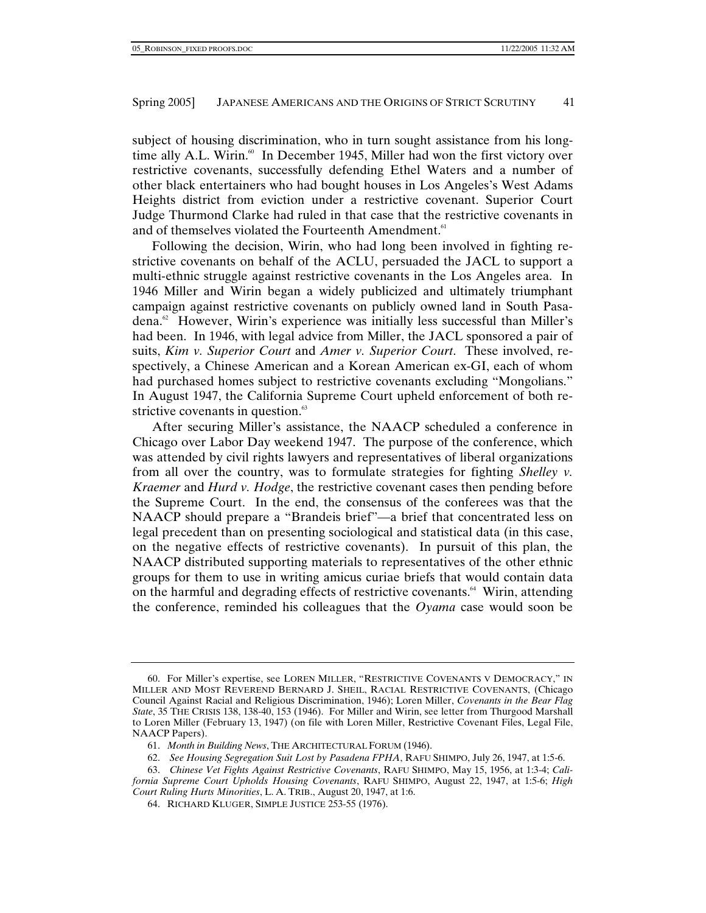subject of housing discrimination, who in turn sought assistance from his longtime ally A.L. Wirin.<sup>60</sup> In December 1945, Miller had won the first victory over restrictive covenants, successfully defending Ethel Waters and a number of other black entertainers who had bought houses in Los Angeles's West Adams Heights district from eviction under a restrictive covenant. Superior Court Judge Thurmond Clarke had ruled in that case that the restrictive covenants in and of themselves violated the Fourteenth Amendment.<sup>61</sup>

Following the decision, Wirin, who had long been involved in fighting restrictive covenants on behalf of the ACLU, persuaded the JACL to support a multi-ethnic struggle against restrictive covenants in the Los Angeles area. In 1946 Miller and Wirin began a widely publicized and ultimately triumphant campaign against restrictive covenants on publicly owned land in South Pasa- $\gamma^{\circ}$  However, Wirin's experience was initially less successful than Miller's had been. In 1946, with legal advice from Miller, the JACL sponsored a pair of suits, *Kim v. Superior Court* and *Amer v. Superior Court*. These involved, respectively, a Chinese American and a Korean American ex-GI, each of whom had purchased homes subject to restrictive covenants excluding "Mongolians." In August 1947, the California Supreme Court upheld enforcement of both restrictive covenants in question.<sup>63</sup>

After securing Miller's assistance, the NAACP scheduled a conference in Chicago over Labor Day weekend 1947. The purpose of the conference, which was attended by civil rights lawyers and representatives of liberal organizations from all over the country, was to formulate strategies for fighting *Shelley v. Kraemer* and *Hurd v. Hodge*, the restrictive covenant cases then pending before the Supreme Court. In the end, the consensus of the conferees was that the NAACP should prepare a "Brandeis brief"—a brief that concentrated less on legal precedent than on presenting sociological and statistical data (in this case, on the negative effects of restrictive covenants). In pursuit of this plan, the NAACP distributed supporting materials to representatives of the other ethnic groups for them to use in writing amicus curiae briefs that would contain data on the harmful and degrading effects of restrictive covenants.<sup>64</sup> Wirin, attending the conference, reminded his colleagues that the *Oyama* case would soon be

 <sup>60.</sup> For Miller's expertise, see LOREN MILLER, "RESTRICTIVE COVENANTS V DEMOCRACY," IN MILLER AND MOST REVEREND BERNARD J. SHEIL, RACIAL RESTRICTIVE COVENANTS, (Chicago Council Against Racial and Religious Discrimination, 1946); Loren Miller, *Covenants in the Bear Flag State*, 35 THE CRISIS 138, 138-40, 153 (1946). For Miller and Wirin, see letter from Thurgood Marshall to Loren Miller (February 13, 1947) (on file with Loren Miller, Restrictive Covenant Files, Legal File, NAACP Papers).

 <sup>61.</sup> *Month in Building News*, THE ARCHITECTURAL FORUM (1946).

 <sup>62.</sup> *See Housing Segregation Suit Lost by Pasadena FPHA*, RAFU SHIMPO, July 26, 1947, at 1:5-6.

 <sup>63.</sup> *Chinese Vet Fights Against Restrictive Covenants*, RAFU SHIMPO, May 15, 1956, at 1:3-4; *California Supreme Court Upholds Housing Covenants*, RAFU SHIMPO, August 22, 1947, at 1:5-6; *High Court Ruling Hurts Minorities*, L. A. TRIB., August 20, 1947, at 1:6.

 <sup>64.</sup> RICHARD KLUGER, SIMPLE JUSTICE 253-55 (1976).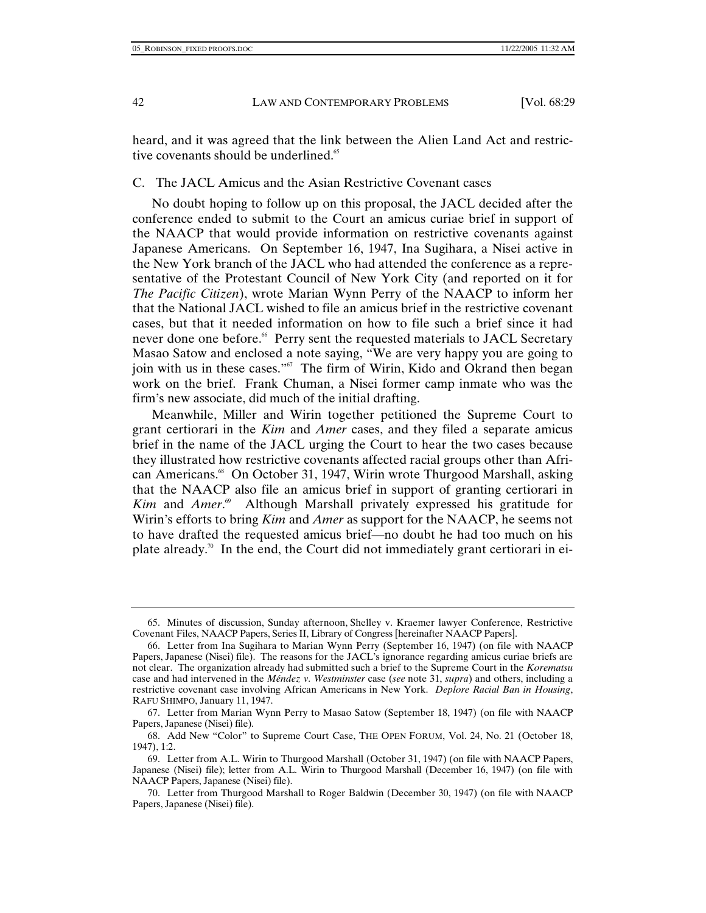heard, and it was agreed that the link between the Alien Land Act and restrictive covenants should be underlined.<sup>65</sup>

# C. The JACL Amicus and the Asian Restrictive Covenant cases

No doubt hoping to follow up on this proposal, the JACL decided after the conference ended to submit to the Court an amicus curiae brief in support of the NAACP that would provide information on restrictive covenants against Japanese Americans. On September 16, 1947, Ina Sugihara, a Nisei active in the New York branch of the JACL who had attended the conference as a representative of the Protestant Council of New York City (and reported on it for *The Pacific Citizen*), wrote Marian Wynn Perry of the NAACP to inform her that the National JACL wished to file an amicus brief in the restrictive covenant cases, but that it needed information on how to file such a brief since it had never done one before.<sup>66</sup> Perry sent the requested materials to JACL Secretary Masao Satow and enclosed a note saying, "We are very happy you are going to join with us in these cases."<sup>67</sup> The firm of Wirin, Kido and Okrand then began work on the brief. Frank Chuman, a Nisei former camp inmate who was the firm's new associate, did much of the initial drafting.

Meanwhile, Miller and Wirin together petitioned the Supreme Court to grant certiorari in the *Kim* and *Amer* cases, and they filed a separate amicus brief in the name of the JACL urging the Court to hear the two cases because they illustrated how restrictive covenants affected racial groups other than African Americans.<sup>68</sup> On October 31, 1947, Wirin wrote Thurgood Marshall, asking that the NAACP also file an amicus brief in support of granting certiorari in Kim and *Amer*.<sup>69</sup> Although Marshall privately expressed his gratitude for Wirin's efforts to bring *Kim* and *Amer* as support for the NAACP, he seems not to have drafted the requested amicus brief—no doubt he had too much on his plate already.<sup>70</sup> In the end, the Court did not immediately grant certiorari in ei-

 <sup>65.</sup> Minutes of discussion, Sunday afternoon, Shelley v. Kraemer lawyer Conference, Restrictive Covenant Files, NAACP Papers, Series II, Library of Congress [hereinafter NAACP Papers].

 <sup>66.</sup> Letter from Ina Sugihara to Marian Wynn Perry (September 16, 1947) (on file with NAACP Papers, Japanese (Nisei) file). The reasons for the JACL's ignorance regarding amicus curiae briefs are not clear. The organization already had submitted such a brief to the Supreme Court in the *Korematsu* case and had intervened in the *Méndez v. Westminster* case (*see* note 31, *supra*) and others, including a restrictive covenant case involving African Americans in New York. *Deplore Racial Ban in Housing*, RAFU SHIMPO, January 11, 1947.

 <sup>67.</sup> Letter from Marian Wynn Perry to Masao Satow (September 18, 1947) (on file with NAACP Papers, Japanese (Nisei) file).

 <sup>68.</sup> Add New "Color" to Supreme Court Case, THE OPEN FORUM, Vol. 24, No. 21 (October 18, 1947), 1:2.

 <sup>69.</sup> Letter from A.L. Wirin to Thurgood Marshall (October 31, 1947) (on file with NAACP Papers, Japanese (Nisei) file); letter from A.L. Wirin to Thurgood Marshall (December 16, 1947) (on file with NAACP Papers, Japanese (Nisei) file).

 <sup>70.</sup> Letter from Thurgood Marshall to Roger Baldwin (December 30, 1947) (on file with NAACP Papers, Japanese (Nisei) file).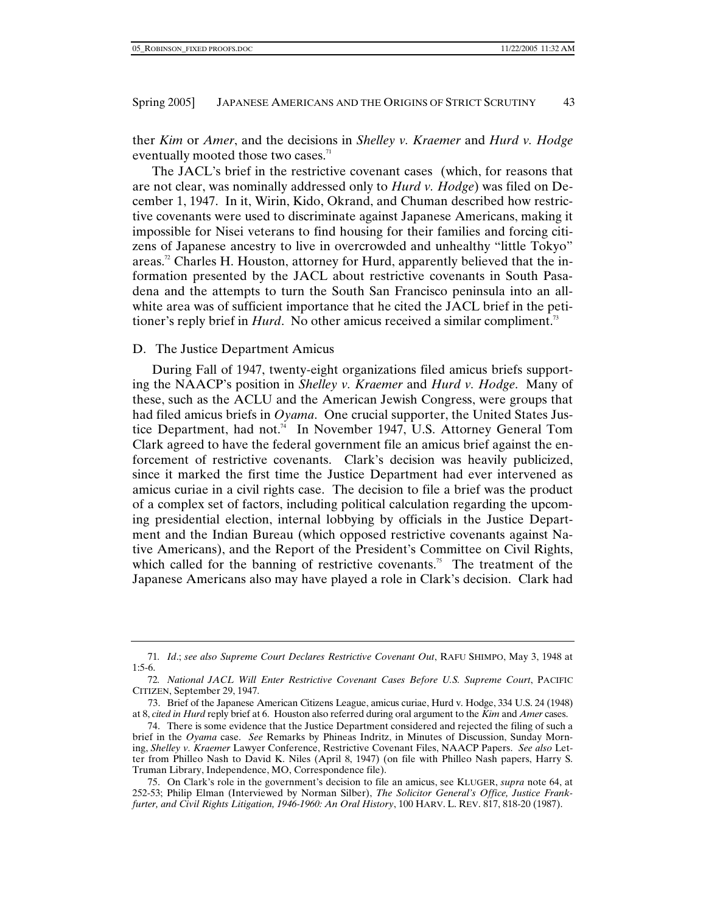ther *Kim* or *Amer*, and the decisions in *Shelley v. Kraemer* and *Hurd v. Hodge* eventually mooted those two cases.<sup>71</sup>

The JACL's brief in the restrictive covenant cases (which, for reasons that are not clear, was nominally addressed only to *Hurd v. Hodge*) was filed on December 1, 1947. In it, Wirin, Kido, Okrand, and Chuman described how restrictive covenants were used to discriminate against Japanese Americans, making it impossible for Nisei veterans to find housing for their families and forcing citizens of Japanese ancestry to live in overcrowded and unhealthy "little Tokyo" areas.<sup>72</sup> Charles H. Houston, attorney for Hurd, apparently believed that the information presented by the JACL about restrictive covenants in South Pasadena and the attempts to turn the South San Francisco peninsula into an allwhite area was of sufficient importance that he cited the JACL brief in the petitioner's reply brief in *Hurd*. No other amicus received a similar compliment.<sup>73</sup>

## D. The Justice Department Amicus

During Fall of 1947, twenty-eight organizations filed amicus briefs supporting the NAACP's position in *Shelley v. Kraemer* and *Hurd v. Hodge*. Many of these, such as the ACLU and the American Jewish Congress, were groups that had filed amicus briefs in *Oyama*. One crucial supporter, the United States Justice Department, had not.<sup>74</sup> In November 1947, U.S. Attorney General Tom Clark agreed to have the federal government file an amicus brief against the enforcement of restrictive covenants. Clark's decision was heavily publicized, since it marked the first time the Justice Department had ever intervened as amicus curiae in a civil rights case. The decision to file a brief was the product of a complex set of factors, including political calculation regarding the upcoming presidential election, internal lobbying by officials in the Justice Department and the Indian Bureau (which opposed restrictive covenants against Native Americans), and the Report of the President's Committee on Civil Rights, which called for the banning of restrictive covenants.<sup>75</sup> The treatment of the Japanese Americans also may have played a role in Clark's decision. Clark had

<sup>71</sup>*. Id*.; *see also Supreme Court Declares Restrictive Covenant Out*, RAFU SHIMPO, May 3, 1948 at  $1:5-6.$ 

<sup>72</sup>*. National JACL Will Enter Restrictive Covenant Cases Before U.S. Supreme Court*, PACIFIC CITIZEN, September 29, 1947.

 <sup>73.</sup> Brief of the Japanese American Citizens League, amicus curiae, Hurd v. Hodge, 334 U.S. 24 (1948) at 8, *cited in Hurd* reply brief at 6. Houston also referred during oral argument to the *Kim* and *Amer* cases.

 <sup>74.</sup> There is some evidence that the Justice Department considered and rejected the filing of such a brief in the *Oyama* case. *See* Remarks by Phineas Indritz, in Minutes of Discussion, Sunday Morning, *Shelley v. Kraemer* Lawyer Conference, Restrictive Covenant Files, NAACP Papers. *See also* Letter from Philleo Nash to David K. Niles (April 8, 1947) (on file with Philleo Nash papers, Harry S. Truman Library, Independence, MO, Correspondence file).

 <sup>75.</sup> On Clark's role in the government's decision to file an amicus, see KLUGER, *supra* note 64, at 252-53; Philip Elman (Interviewed by Norman Silber), *The Solicitor General's Office, Justice Frankfurter, and Civil Rights Litigation, 1946-1960: An Oral History*, 100 HARV. L. REV. 817, 818-20 (1987).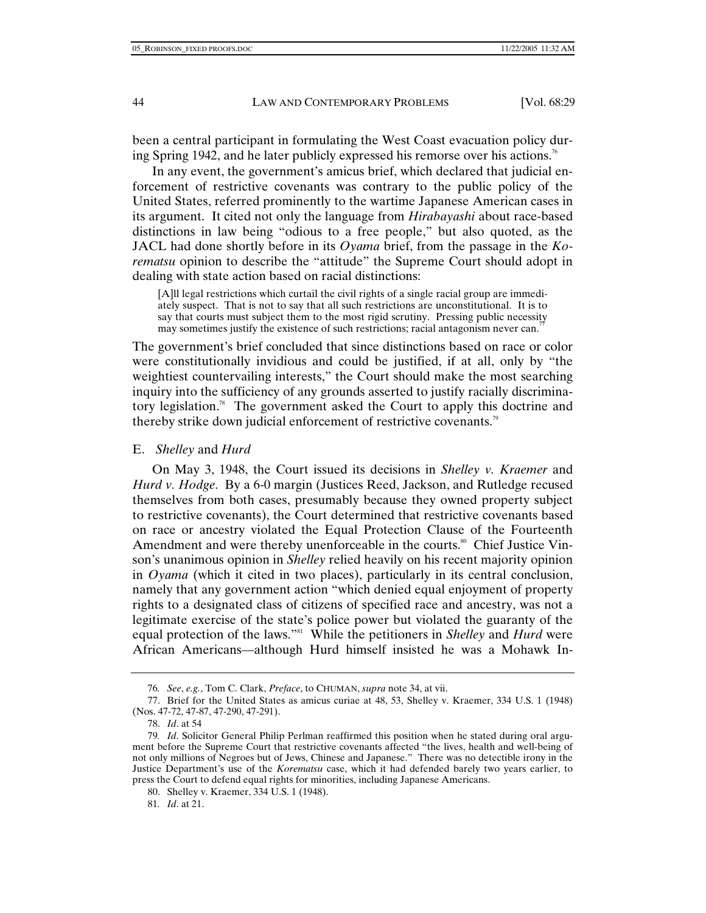been a central participant in formulating the West Coast evacuation policy during Spring 1942, and he later publicly expressed his remorse over his actions.<sup>76</sup>

In any event, the government's amicus brief, which declared that judicial enforcement of restrictive covenants was contrary to the public policy of the United States, referred prominently to the wartime Japanese American cases in its argument. It cited not only the language from *Hirabayashi* about race-based distinctions in law being "odious to a free people," but also quoted, as the JACL had done shortly before in its *Oyama* brief, from the passage in the *Korematsu* opinion to describe the "attitude" the Supreme Court should adopt in dealing with state action based on racial distinctions:

[A]ll legal restrictions which curtail the civil rights of a single racial group are immediately suspect. That is not to say that all such restrictions are unconstitutional. It is to say that courts must subject them to the most rigid scrutiny. Pressing public necessity may sometimes justify the existence of such restrictions; racial antagonism never can.

The government's brief concluded that since distinctions based on race or color were constitutionally invidious and could be justified, if at all, only by "the weightiest countervailing interests," the Court should make the most searching inquiry into the sufficiency of any grounds asserted to justify racially discriminatory legislation.<sup>78</sup> The government asked the Court to apply this doctrine and thereby strike down judicial enforcement of restrictive covenants.79

#### E. *Shelley* and *Hurd*

On May 3, 1948, the Court issued its decisions in *Shelley v. Kraemer* and *Hurd v. Hodge*. By a 6-0 margin (Justices Reed, Jackson, and Rutledge recused themselves from both cases, presumably because they owned property subject to restrictive covenants), the Court determined that restrictive covenants based on race or ancestry violated the Equal Protection Clause of the Fourteenth Amendment and were thereby unenforceable in the courts.<sup>80</sup> Chief Justice Vinson's unanimous opinion in *Shelley* relied heavily on his recent majority opinion in *Oyama* (which it cited in two places), particularly in its central conclusion, namely that any government action "which denied equal enjoyment of property rights to a designated class of citizens of specified race and ancestry, was not a legitimate exercise of the state's police power but violated the guaranty of the equal protection of the laws."81 While the petitioners in *Shelley* and *Hurd* were African Americans—although Hurd himself insisted he was a Mohawk In-

<sup>76</sup>*. See*, *e.g.*, Tom C. Clark, *Preface*, to CHUMAN, *supra* note 34, at vii.

 <sup>77.</sup> Brief for the United States as amicus curiae at 48, 53, Shelley v. Kraemer, 334 U.S. 1 (1948) (Nos. 47-72, 47-87, 47-290, 47-291).

 <sup>78.</sup> *Id*. at 54

<sup>79</sup>*. Id*. Solicitor General Philip Perlman reaffirmed this position when he stated during oral argument before the Supreme Court that restrictive covenants affected "the lives, health and well-being of not only millions of Negroes but of Jews, Chinese and Japanese." There was no detectible irony in the Justice Department's use of the *Korematsu* case, which it had defended barely two years earlier, to press the Court to defend equal rights for minorities, including Japanese Americans.

 <sup>80.</sup> Shelley v. Kraemer, 334 U.S. 1 (1948).

<sup>81</sup>*. Id*. at 21.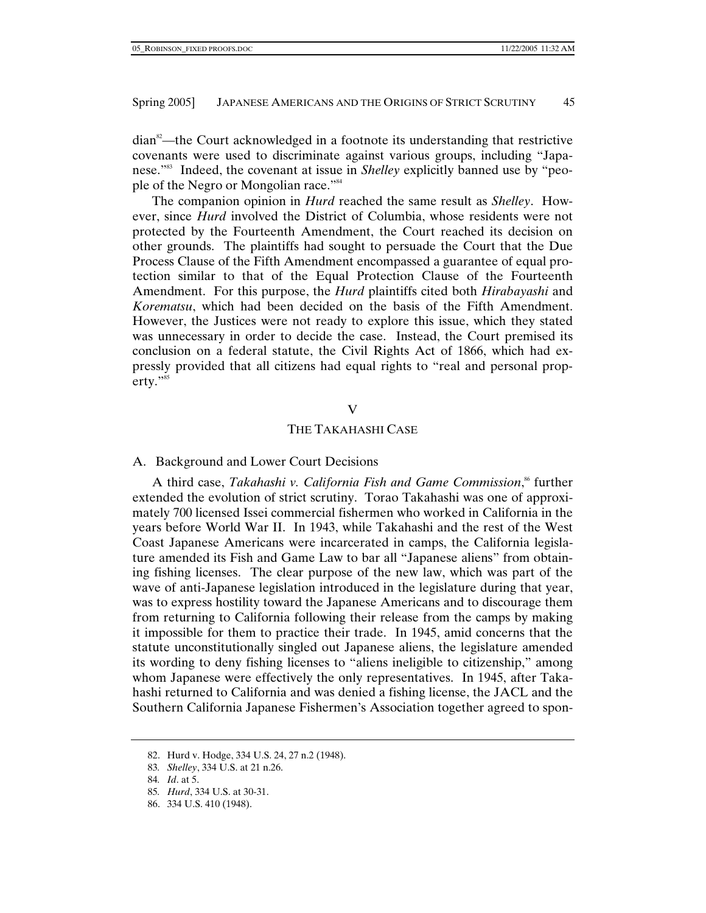dian<sup>82</sup>—the Court acknowledged in a footnote its understanding that restrictive covenants were used to discriminate against various groups, including "Japanese."83 Indeed, the covenant at issue in *Shelley* explicitly banned use by "people of the Negro or Mongolian race."84

The companion opinion in *Hurd* reached the same result as *Shelley*. However, since *Hurd* involved the District of Columbia, whose residents were not protected by the Fourteenth Amendment, the Court reached its decision on other grounds. The plaintiffs had sought to persuade the Court that the Due Process Clause of the Fifth Amendment encompassed a guarantee of equal protection similar to that of the Equal Protection Clause of the Fourteenth Amendment. For this purpose, the *Hurd* plaintiffs cited both *Hirabayashi* and *Korematsu*, which had been decided on the basis of the Fifth Amendment. However, the Justices were not ready to explore this issue, which they stated was unnecessary in order to decide the case. Instead, the Court premised its conclusion on a federal statute, the Civil Rights Act of 1866, which had expressly provided that all citizens had equal rights to "real and personal property."<sup>85</sup>

# $\overline{\mathbf{V}}$

# THE TAKAHASHI CASE

#### A. Background and Lower Court Decisions

A third case, *Takahashi v. California Fish and Game Commission*, 86 further extended the evolution of strict scrutiny. Torao Takahashi was one of approximately 700 licensed Issei commercial fishermen who worked in California in the years before World War II. In 1943, while Takahashi and the rest of the West Coast Japanese Americans were incarcerated in camps, the California legislature amended its Fish and Game Law to bar all "Japanese aliens" from obtaining fishing licenses. The clear purpose of the new law, which was part of the wave of anti-Japanese legislation introduced in the legislature during that year, was to express hostility toward the Japanese Americans and to discourage them from returning to California following their release from the camps by making it impossible for them to practice their trade. In 1945, amid concerns that the statute unconstitutionally singled out Japanese aliens, the legislature amended its wording to deny fishing licenses to "aliens ineligible to citizenship," among whom Japanese were effectively the only representatives. In 1945, after Takahashi returned to California and was denied a fishing license, the JACL and the Southern California Japanese Fishermen's Association together agreed to spon-

 <sup>82.</sup> Hurd v. Hodge, 334 U.S. 24, 27 n.2 (1948).

<sup>83</sup>*. Shelley*, 334 U.S. at 21 n.26.

<sup>84</sup>*. Id*. at 5.

<sup>85</sup>*. Hurd*, 334 U.S. at 30-31.

 <sup>86. 334</sup> U.S. 410 (1948).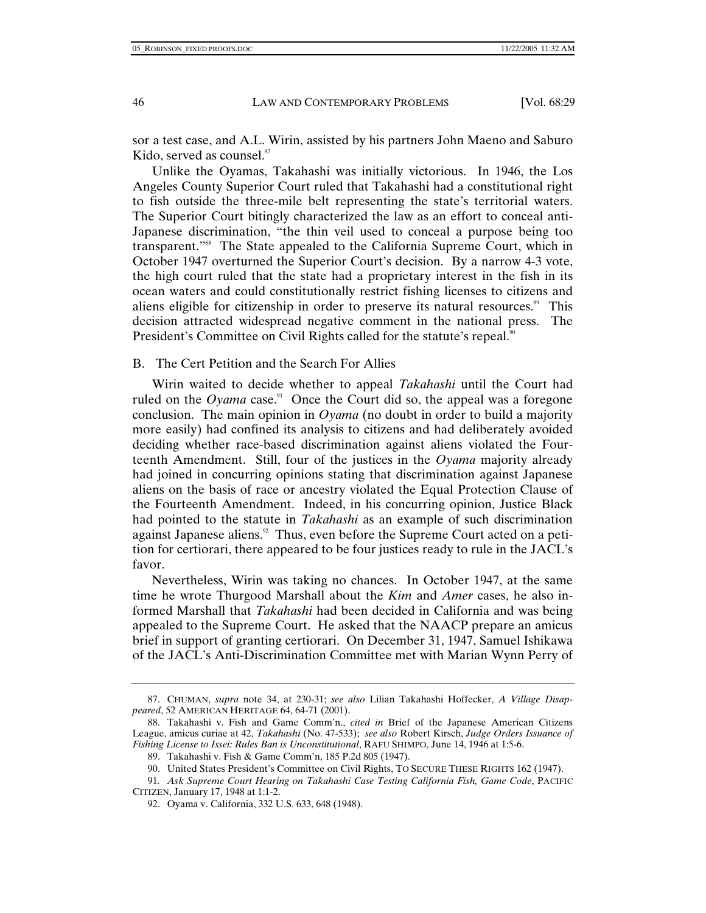sor a test case, and A.L. Wirin, assisted by his partners John Maeno and Saburo Kido, served as counsel.<sup>87</sup>

Unlike the Oyamas, Takahashi was initially victorious. In 1946, the Los Angeles County Superior Court ruled that Takahashi had a constitutional right to fish outside the three-mile belt representing the state's territorial waters. The Superior Court bitingly characterized the law as an effort to conceal anti-Japanese discrimination, "the thin veil used to conceal a purpose being too transparent."88 The State appealed to the California Supreme Court, which in October 1947 overturned the Superior Court's decision. By a narrow 4-3 vote, the high court ruled that the state had a proprietary interest in the fish in its ocean waters and could constitutionally restrict fishing licenses to citizens and aliens eligible for citizenship in order to preserve its natural resources.<sup>89</sup> This decision attracted widespread negative comment in the national press. The President's Committee on Civil Rights called for the statute's repeal.<sup>90</sup>

# B. The Cert Petition and the Search For Allies

Wirin waited to decide whether to appeal *Takahashi* until the Court had ruled on the *Oyama* case.<sup>91</sup> Once the Court did so, the appeal was a foregone conclusion. The main opinion in *Oyama* (no doubt in order to build a majority more easily) had confined its analysis to citizens and had deliberately avoided deciding whether race-based discrimination against aliens violated the Fourteenth Amendment. Still, four of the justices in the *Oyama* majority already had joined in concurring opinions stating that discrimination against Japanese aliens on the basis of race or ancestry violated the Equal Protection Clause of the Fourteenth Amendment. Indeed, in his concurring opinion, Justice Black had pointed to the statute in *Takahashi* as an example of such discrimination against Japanese aliens.<sup>92</sup> Thus, even before the Supreme Court acted on a petition for certiorari, there appeared to be four justices ready to rule in the JACL's favor.

Nevertheless, Wirin was taking no chances. In October 1947, at the same time he wrote Thurgood Marshall about the *Kim* and *Amer* cases, he also informed Marshall that *Takahashi* had been decided in California and was being appealed to the Supreme Court. He asked that the NAACP prepare an amicus brief in support of granting certiorari. On December 31, 1947, Samuel Ishikawa of the JACL's Anti-Discrimination Committee met with Marian Wynn Perry of

 <sup>87.</sup> CHUMAN, *supra* note 34, at 230-31; *see also* Lilian Takahashi Hoffecker, *A Village Disappeared*, 52 AMERICAN HERITAGE 64, 64-71 (2001).

 <sup>88.</sup> Takahashi v. Fish and Game Comm'n., *cited in* Brief of the Japanese American Citizens League, amicus curiae at 42, *Takahashi* (No. 47-533); *see also* Robert Kirsch, *Judge Orders Issuance of Fishing License to Issei: Rules Ban is Unconstitutional*, RAFU SHIMPO, June 14, 1946 at 1:5-6.

 <sup>89.</sup> Takahashi v. Fish & Game Comm'n, 185 P.2d 805 (1947).

 <sup>90.</sup> United States President's Committee on Civil Rights, TO SECURE THESE RIGHTS 162 (1947).

<sup>91</sup>*. Ask Supreme Court Hearing on Takahashi Case Testing California Fish, Game Code*, PACIFIC CITIZEN, January 17, 1948 at 1:1-2.

 <sup>92.</sup> Oyama v. California, 332 U.S. 633, 648 (1948).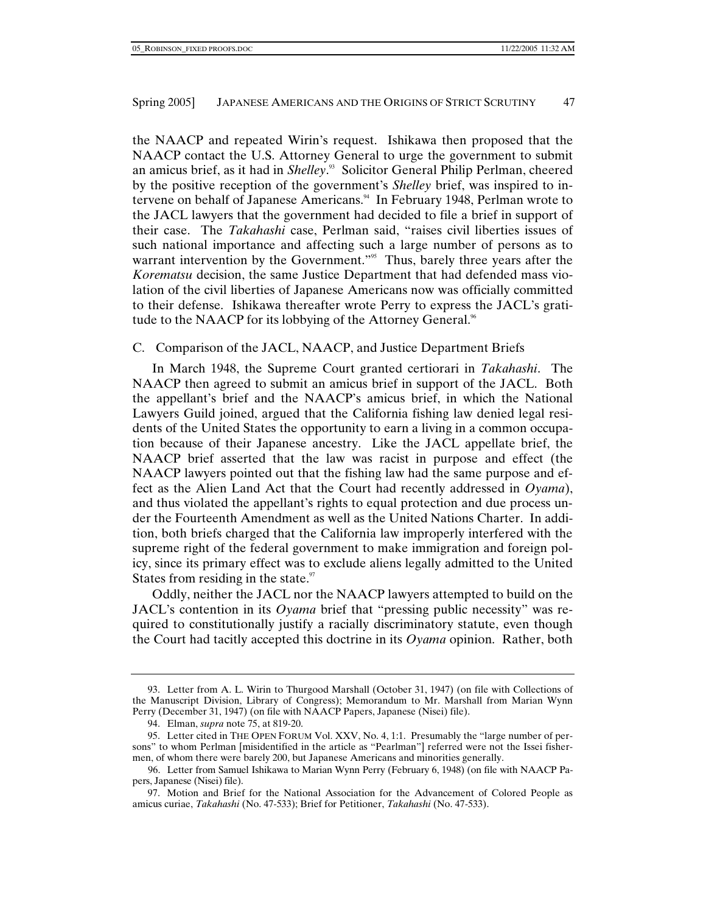the NAACP and repeated Wirin's request. Ishikawa then proposed that the NAACP contact the U.S. Attorney General to urge the government to submit an amicus brief, as it had in *Shelley*. 93 Solicitor General Philip Perlman, cheered by the positive reception of the government's *Shelley* brief, was inspired to intervene on behalf of Japanese Americans.<sup>94</sup> In February 1948, Perlman wrote to the JACL lawyers that the government had decided to file a brief in support of their case. The *Takahashi* case, Perlman said, "raises civil liberties issues of such national importance and affecting such a large number of persons as to warrant intervention by the Government."<sup>95</sup> Thus, barely three years after the *Korematsu* decision, the same Justice Department that had defended mass violation of the civil liberties of Japanese Americans now was officially committed to their defense. Ishikawa thereafter wrote Perry to express the JACL's gratitude to the NAACP for its lobbying of the Attorney General.<sup>96</sup>

## C. Comparison of the JACL, NAACP, and Justice Department Briefs

In March 1948, the Supreme Court granted certiorari in *Takahashi*. The NAACP then agreed to submit an amicus brief in support of the JACL. Both the appellant's brief and the NAACP's amicus brief, in which the National Lawyers Guild joined, argued that the California fishing law denied legal residents of the United States the opportunity to earn a living in a common occupation because of their Japanese ancestry. Like the JACL appellate brief, the NAACP brief asserted that the law was racist in purpose and effect (the NAACP lawyers pointed out that the fishing law had the same purpose and effect as the Alien Land Act that the Court had recently addressed in *Oyama*), and thus violated the appellant's rights to equal protection and due process under the Fourteenth Amendment as well as the United Nations Charter. In addition, both briefs charged that the California law improperly interfered with the supreme right of the federal government to make immigration and foreign policy, since its primary effect was to exclude aliens legally admitted to the United States from residing in the state. $\frac{97}{2}$ 

Oddly, neither the JACL nor the NAACP lawyers attempted to build on the JACL's contention in its *Oyama* brief that "pressing public necessity" was required to constitutionally justify a racially discriminatory statute, even though the Court had tacitly accepted this doctrine in its *Oyama* opinion. Rather, both

 <sup>93.</sup> Letter from A. L. Wirin to Thurgood Marshall (October 31, 1947) (on file with Collections of the Manuscript Division, Library of Congress); Memorandum to Mr. Marshall from Marian Wynn Perry (December 31, 1947) (on file with NAACP Papers, Japanese (Nisei) file).

 <sup>94.</sup> Elman, *supra* note 75, at 819-20.

 <sup>95.</sup> Letter cited in THE OPEN FORUM Vol. XXV, No. 4, 1:1. Presumably the "large number of persons" to whom Perlman [misidentified in the article as "Pearlman"] referred were not the Issei fishermen, of whom there were barely 200, but Japanese Americans and minorities generally.

 <sup>96.</sup> Letter from Samuel Ishikawa to Marian Wynn Perry (February 6, 1948) (on file with NAACP Papers, Japanese (Nisei) file).

 <sup>97.</sup> Motion and Brief for the National Association for the Advancement of Colored People as amicus curiae, *Takahashi* (No. 47-533); Brief for Petitioner, *Takahashi* (No. 47-533).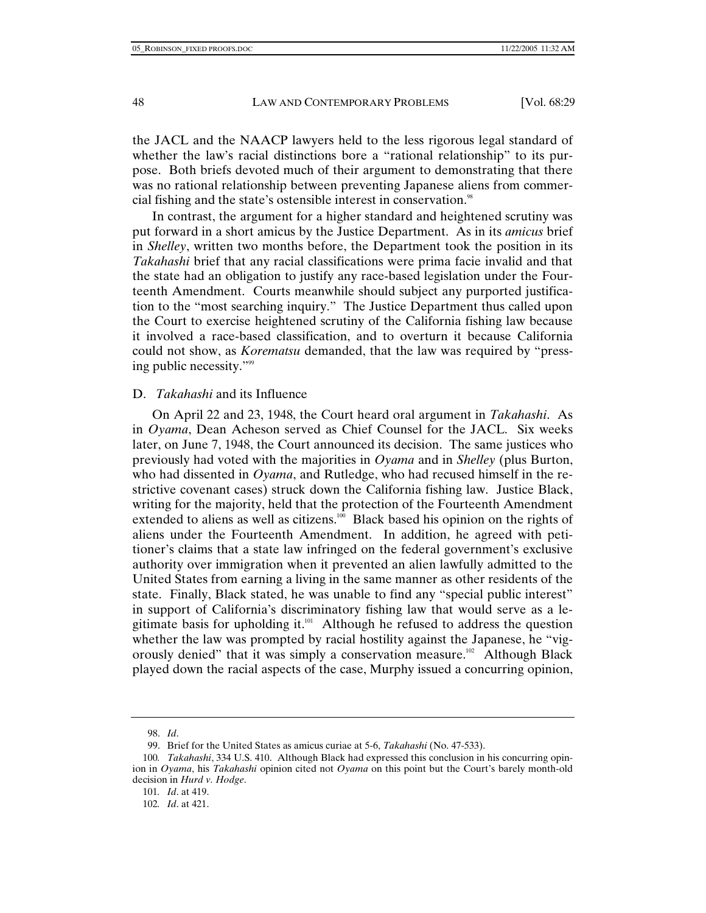the JACL and the NAACP lawyers held to the less rigorous legal standard of whether the law's racial distinctions bore a "rational relationship" to its purpose. Both briefs devoted much of their argument to demonstrating that there was no rational relationship between preventing Japanese aliens from commercial fishing and the state's ostensible interest in conservation.<sup>98</sup>

In contrast, the argument for a higher standard and heightened scrutiny was put forward in a short amicus by the Justice Department. As in its *amicus* brief in *Shelley*, written two months before, the Department took the position in its *Takahashi* brief that any racial classifications were prima facie invalid and that the state had an obligation to justify any race-based legislation under the Fourteenth Amendment. Courts meanwhile should subject any purported justification to the "most searching inquiry." The Justice Department thus called upon the Court to exercise heightened scrutiny of the California fishing law because it involved a race-based classification, and to overturn it because California could not show, as *Korematsu* demanded, that the law was required by "pressing public necessity."99

# D. *Takahashi* and its Influence

On April 22 and 23, 1948, the Court heard oral argument in *Takahashi*. As in *Oyama*, Dean Acheson served as Chief Counsel for the JACL. Six weeks later, on June 7, 1948, the Court announced its decision. The same justices who previously had voted with the majorities in *Oyama* and in *Shelley* (plus Burton, who had dissented in *Oyama*, and Rutledge, who had recused himself in the restrictive covenant cases) struck down the California fishing law. Justice Black, writing for the majority, held that the protection of the Fourteenth Amendment extended to aliens as well as citizens. $100$  Black based his opinion on the rights of aliens under the Fourteenth Amendment. In addition, he agreed with petitioner's claims that a state law infringed on the federal government's exclusive authority over immigration when it prevented an alien lawfully admitted to the United States from earning a living in the same manner as other residents of the state. Finally, Black stated, he was unable to find any "special public interest" in support of California's discriminatory fishing law that would serve as a legitimate basis for upholding it.<sup>101</sup> Although he refused to address the question whether the law was prompted by racial hostility against the Japanese, he "vigorously denied" that it was simply a conservation measure.<sup>102</sup> Although Black played down the racial aspects of the case, Murphy issued a concurring opinion,

 <sup>98.</sup> *Id*.

 <sup>99.</sup> Brief for the United States as amicus curiae at 5-6, *Takahashi* (No. 47-533).

<sup>100</sup>*. Takahashi*, 334 U.S. 410. Although Black had expressed this conclusion in his concurring opinion in *Oyama*, his *Takahashi* opinion cited not *Oyama* on this point but the Court's barely month-old decision in *Hurd v. Hodge*.

<sup>101</sup>*. Id*. at 419.

<sup>102</sup>*. Id*. at 421.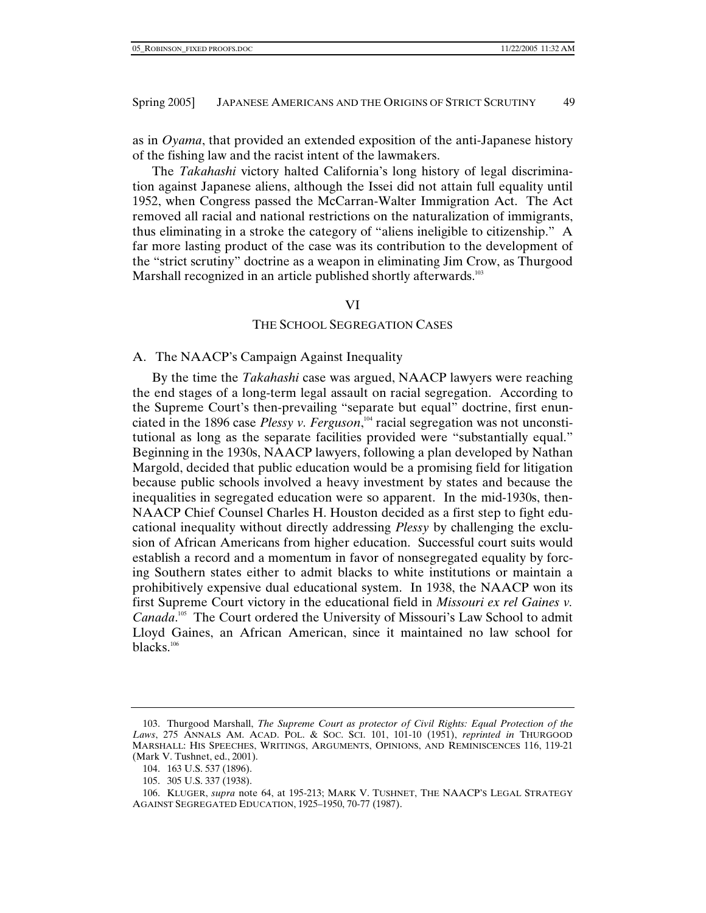as in *Oyama*, that provided an extended exposition of the anti-Japanese history of the fishing law and the racist intent of the lawmakers.

The *Takahashi* victory halted California's long history of legal discrimination against Japanese aliens, although the Issei did not attain full equality until 1952, when Congress passed the McCarran-Walter Immigration Act. The Act removed all racial and national restrictions on the naturalization of immigrants, thus eliminating in a stroke the category of "aliens ineligible to citizenship." A far more lasting product of the case was its contribution to the development of the "strict scrutiny" doctrine as a weapon in eliminating Jim Crow, as Thurgood Marshall recognized in an article published shortly afterwards.<sup>103</sup>

#### VI

# THE SCHOOL SEGREGATION CASES

# A. The NAACP's Campaign Against Inequality

By the time the *Takahashi* case was argued, NAACP lawyers were reaching the end stages of a long-term legal assault on racial segregation. According to the Supreme Court's then-prevailing "separate but equal" doctrine, first enunciated in the 1896 case *Plessy v. Ferguson*,<sup>104</sup> racial segregation was not unconstitutional as long as the separate facilities provided were "substantially equal." Beginning in the 1930s, NAACP lawyers, following a plan developed by Nathan Margold, decided that public education would be a promising field for litigation because public schools involved a heavy investment by states and because the inequalities in segregated education were so apparent. In the mid-1930s, then-NAACP Chief Counsel Charles H. Houston decided as a first step to fight educational inequality without directly addressing *Plessy* by challenging the exclusion of African Americans from higher education. Successful court suits would establish a record and a momentum in favor of nonsegregated equality by forcing Southern states either to admit blacks to white institutions or maintain a prohibitively expensive dual educational system. In 1938, the NAACP won its first Supreme Court victory in the educational field in *Missouri ex rel Gaines v. Canada*. 105 The Court ordered the University of Missouri's Law School to admit Lloyd Gaines, an African American, since it maintained no law school for blacks.106

 <sup>103.</sup> Thurgood Marshall, *The Supreme Court as protector of Civil Rights: Equal Protection of the Laws*, 275 ANNALS AM. ACAD. POL. & SOC. SCI. 101, 101-10 (1951), *reprinted in* THURGOOD MARSHALL: HIS SPEECHES, WRITINGS, ARGUMENTS, OPINIONS, AND REMINISCENCES 116, 119-21 (Mark V. Tushnet, ed., 2001).

 <sup>104. 163</sup> U.S. 537 (1896).

 <sup>105. 305</sup> U.S. 337 (1938).

 <sup>106.</sup> KLUGER, *supra* note 64, at 195-213; MARK V. TUSHNET, THE NAACP'S LEGAL STRATEGY AGAINST SEGREGATED EDUCATION, 1925–1950, 70-77 (1987).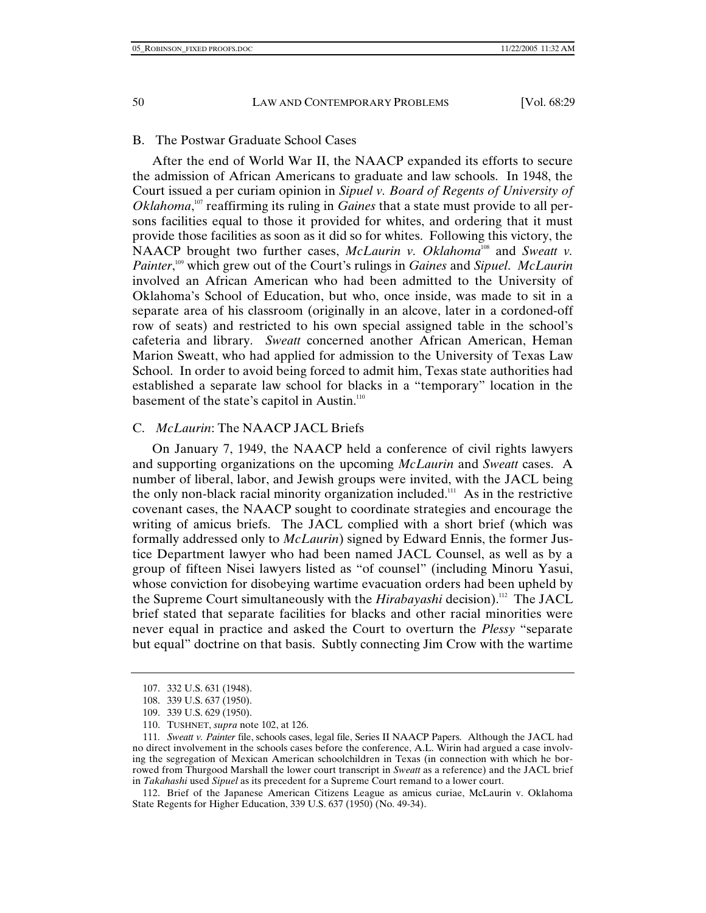## B. The Postwar Graduate School Cases

After the end of World War II, the NAACP expanded its efforts to secure the admission of African Americans to graduate and law schools. In 1948, the Court issued a per curiam opinion in *Sipuel v. Board of Regents of University of*  Oklahoma,<sup>107</sup> reaffirming its ruling in *Gaines* that a state must provide to all persons facilities equal to those it provided for whites, and ordering that it must provide those facilities as soon as it did so for whites. Following this victory, the NAACP brought two further cases, *McLaurin v. Oklahoma*<sup>108</sup> and *Sweatt v. Painter*, 109 which grew out of the Court's rulings in *Gaines* and *Sipuel*. *McLaurin* involved an African American who had been admitted to the University of Oklahoma's School of Education, but who, once inside, was made to sit in a separate area of his classroom (originally in an alcove, later in a cordoned-off row of seats) and restricted to his own special assigned table in the school's cafeteria and library. *Sweatt* concerned another African American, Heman Marion Sweatt, who had applied for admission to the University of Texas Law School. In order to avoid being forced to admit him, Texas state authorities had established a separate law school for blacks in a "temporary" location in the basement of the state's capitol in Austin.<sup>110</sup>

# C. *McLaurin*: The NAACP JACL Briefs

On January 7, 1949, the NAACP held a conference of civil rights lawyers and supporting organizations on the upcoming *McLaurin* and *Sweatt* cases. A number of liberal, labor, and Jewish groups were invited, with the JACL being the only non-black racial minority organization included.<sup>111</sup> As in the restrictive covenant cases, the NAACP sought to coordinate strategies and encourage the writing of amicus briefs. The JACL complied with a short brief (which was formally addressed only to *McLaurin*) signed by Edward Ennis, the former Justice Department lawyer who had been named JACL Counsel, as well as by a group of fifteen Nisei lawyers listed as "of counsel" (including Minoru Yasui, whose conviction for disobeying wartime evacuation orders had been upheld by the Supreme Court simultaneously with the *Hirabayashi* decision).<sup>112</sup> The JACL brief stated that separate facilities for blacks and other racial minorities were never equal in practice and asked the Court to overturn the *Plessy* "separate but equal" doctrine on that basis. Subtly connecting Jim Crow with the wartime

 <sup>107. 332</sup> U.S. 631 (1948).

 <sup>108. 339</sup> U.S. 637 (1950).

 <sup>109. 339</sup> U.S. 629 (1950).

 <sup>110.</sup> TUSHNET, *supra* note 102, at 126.

<sup>111</sup>*. Sweatt v. Painter* file, schools cases, legal file, Series II NAACP Papers. Although the JACL had no direct involvement in the schools cases before the conference, A.L. Wirin had argued a case involving the segregation of Mexican American schoolchildren in Texas (in connection with which he borrowed from Thurgood Marshall the lower court transcript in *Sweatt* as a reference) and the JACL brief in *Takahashi* used *Sipuel* as its precedent for a Supreme Court remand to a lower court.

 <sup>112.</sup> Brief of the Japanese American Citizens League as amicus curiae, McLaurin v. Oklahoma State Regents for Higher Education, 339 U.S. 637 (1950) (No. 49-34).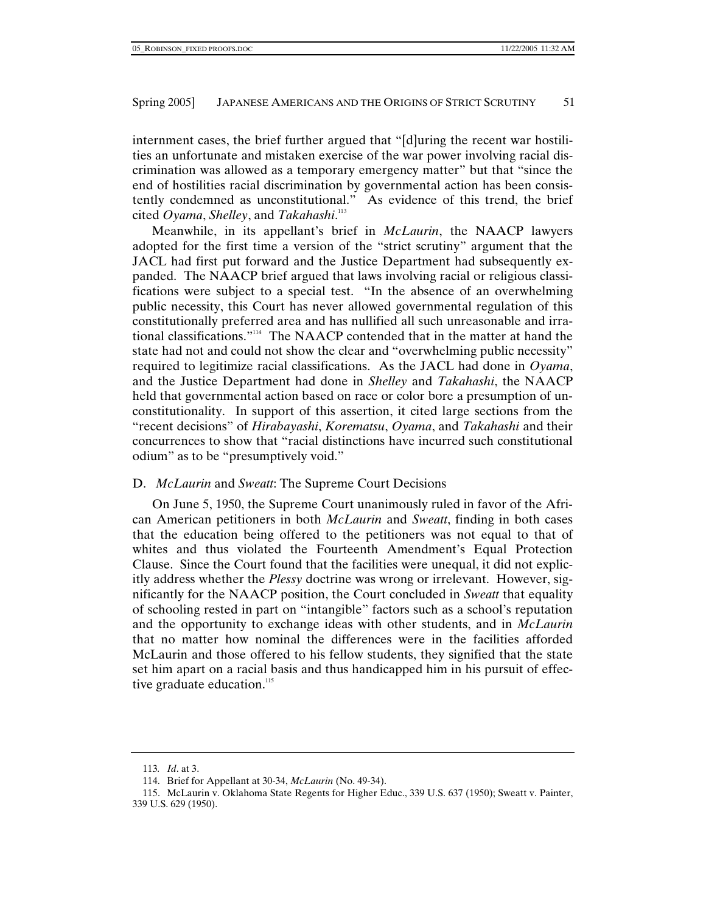internment cases, the brief further argued that "[d]uring the recent war hostilities an unfortunate and mistaken exercise of the war power involving racial discrimination was allowed as a temporary emergency matter" but that "since the end of hostilities racial discrimination by governmental action has been consistently condemned as unconstitutional." As evidence of this trend, the brief cited *Oyama*, *Shelley*, and *Takahashi*. 113

Meanwhile, in its appellant's brief in *McLaurin*, the NAACP lawyers adopted for the first time a version of the "strict scrutiny" argument that the JACL had first put forward and the Justice Department had subsequently expanded. The NAACP brief argued that laws involving racial or religious classifications were subject to a special test. "In the absence of an overwhelming public necessity, this Court has never allowed governmental regulation of this constitutionally preferred area and has nullified all such unreasonable and irrational classifications."114 The NAACP contended that in the matter at hand the state had not and could not show the clear and "overwhelming public necessity" required to legitimize racial classifications. As the JACL had done in *Oyama*, and the Justice Department had done in *Shelley* and *Takahashi*, the NAACP held that governmental action based on race or color bore a presumption of unconstitutionality. In support of this assertion, it cited large sections from the "recent decisions" of *Hirabayashi*, *Korematsu*, *Oyama*, and *Takahashi* and their concurrences to show that "racial distinctions have incurred such constitutional odium" as to be "presumptively void."

# D. *McLaurin* and *Sweatt*: The Supreme Court Decisions

On June 5, 1950, the Supreme Court unanimously ruled in favor of the African American petitioners in both *McLaurin* and *Sweatt*, finding in both cases that the education being offered to the petitioners was not equal to that of whites and thus violated the Fourteenth Amendment's Equal Protection Clause. Since the Court found that the facilities were unequal, it did not explicitly address whether the *Plessy* doctrine was wrong or irrelevant. However, significantly for the NAACP position, the Court concluded in *Sweatt* that equality of schooling rested in part on "intangible" factors such as a school's reputation and the opportunity to exchange ideas with other students, and in *McLaurin* that no matter how nominal the differences were in the facilities afforded McLaurin and those offered to his fellow students, they signified that the state set him apart on a racial basis and thus handicapped him in his pursuit of effective graduate education. $115$ 

<sup>113</sup>*. Id*. at 3.

 <sup>114.</sup> Brief for Appellant at 30-34, *McLaurin* (No. 49-34).

 <sup>115.</sup> McLaurin v. Oklahoma State Regents for Higher Educ., 339 U.S. 637 (1950); Sweatt v. Painter, 339 U.S. 629 (1950).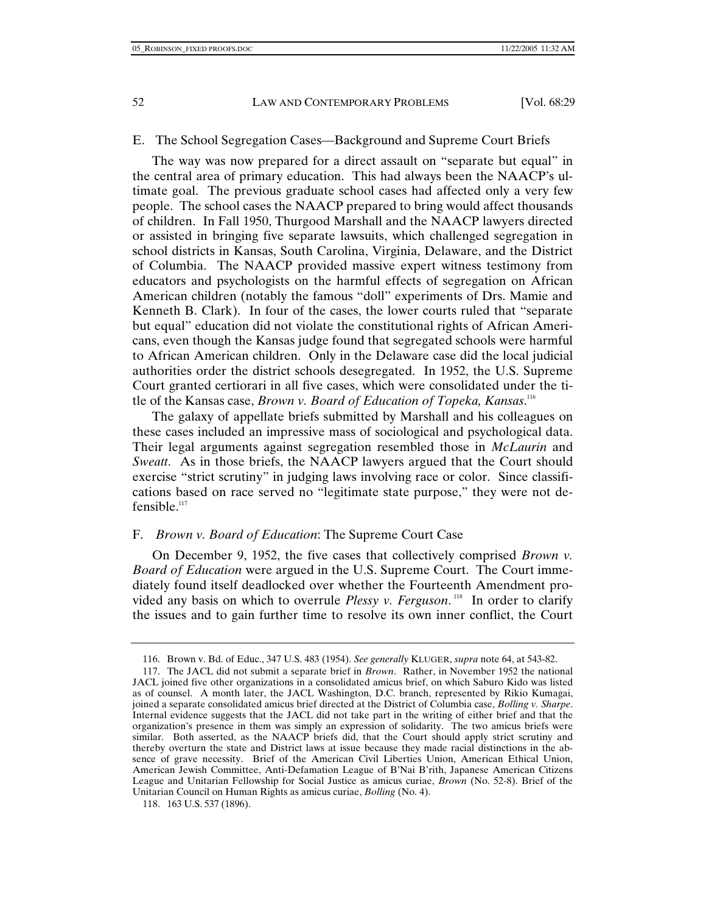## E. The School Segregation Cases—Background and Supreme Court Briefs

The way was now prepared for a direct assault on "separate but equal" in the central area of primary education. This had always been the NAACP's ultimate goal. The previous graduate school cases had affected only a very few people. The school cases the NAACP prepared to bring would affect thousands of children. In Fall 1950, Thurgood Marshall and the NAACP lawyers directed or assisted in bringing five separate lawsuits, which challenged segregation in school districts in Kansas, South Carolina, Virginia, Delaware, and the District of Columbia. The NAACP provided massive expert witness testimony from educators and psychologists on the harmful effects of segregation on African American children (notably the famous "doll" experiments of Drs. Mamie and Kenneth B. Clark). In four of the cases, the lower courts ruled that "separate but equal" education did not violate the constitutional rights of African Americans, even though the Kansas judge found that segregated schools were harmful to African American children. Only in the Delaware case did the local judicial authorities order the district schools desegregated. In 1952, the U.S. Supreme Court granted certiorari in all five cases, which were consolidated under the title of the Kansas case, *Brown v. Board of Education of Topeka, Kansas*. 116

The galaxy of appellate briefs submitted by Marshall and his colleagues on these cases included an impressive mass of sociological and psychological data. Their legal arguments against segregation resembled those in *McLaurin* and *Sweatt*. As in those briefs, the NAACP lawyers argued that the Court should exercise "strict scrutiny" in judging laws involving race or color. Since classifications based on race served no "legitimate state purpose," they were not de $fensible.<sup>117</sup>$ 

## F. *Brown v. Board of Education*: The Supreme Court Case

On December 9, 1952, the five cases that collectively comprised *Brown v. Board of Education* were argued in the U.S. Supreme Court. The Court immediately found itself deadlocked over whether the Fourteenth Amendment provided any basis on which to overrule *Plessy v. Ferguson*.<sup>118</sup> In order to clarify the issues and to gain further time to resolve its own inner conflict, the Court

 <sup>116.</sup> Brown v. Bd. of Educ., 347 U.S. 483 (1954). *See generally* KLUGER, *supra* note 64, at 543-82.

 <sup>117.</sup> The JACL did not submit a separate brief in *Brown*. Rather, in November 1952 the national JACL joined five other organizations in a consolidated amicus brief, on which Saburo Kido was listed as of counsel. A month later, the JACL Washington, D.C. branch, represented by Rikio Kumagai, joined a separate consolidated amicus brief directed at the District of Columbia case, *Bolling v. Sharpe*. Internal evidence suggests that the JACL did not take part in the writing of either brief and that the organization's presence in them was simply an expression of solidarity. The two amicus briefs were similar. Both asserted, as the NAACP briefs did, that the Court should apply strict scrutiny and thereby overturn the state and District laws at issue because they made racial distinctions in the absence of grave necessity. Brief of the American Civil Liberties Union, American Ethical Union, American Jewish Committee, Anti-Defamation League of B'Nai B'rith, Japanese American Citizens League and Unitarian Fellowship for Social Justice as amicus curiae, *Brown* (No. 52-8). Brief of the Unitarian Council on Human Rights as amicus curiae, *Bolling* (No. 4).

 <sup>118. 163</sup> U.S. 537 (1896).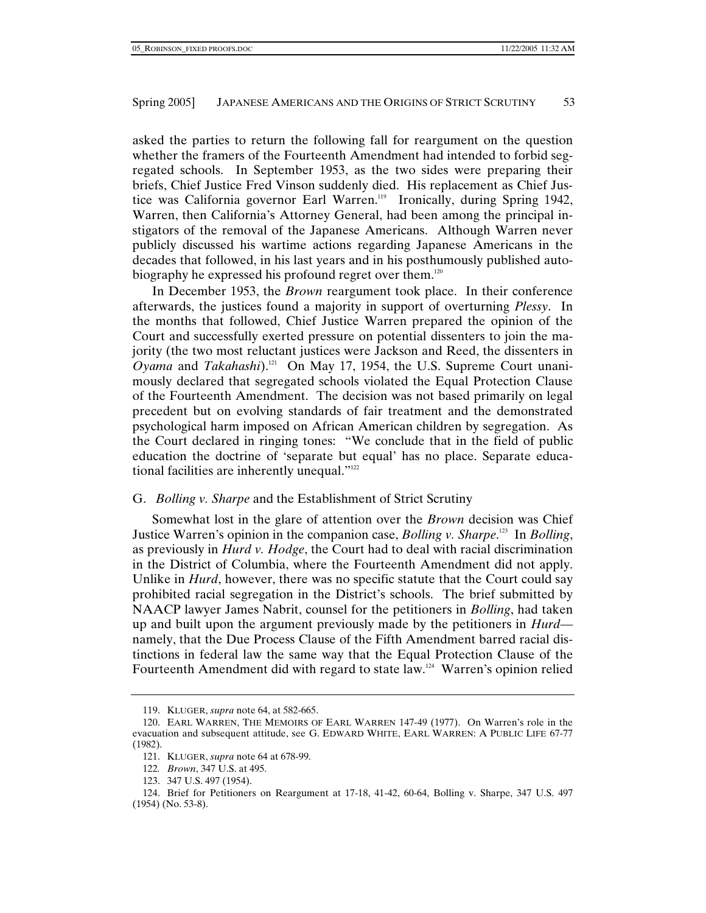asked the parties to return the following fall for reargument on the question whether the framers of the Fourteenth Amendment had intended to forbid segregated schools. In September 1953, as the two sides were preparing their briefs, Chief Justice Fred Vinson suddenly died. His replacement as Chief Justice was California governor Earl Warren.<sup>119</sup> Ironically, during Spring 1942, Warren, then California's Attorney General, had been among the principal instigators of the removal of the Japanese Americans. Although Warren never publicly discussed his wartime actions regarding Japanese Americans in the decades that followed, in his last years and in his posthumously published autobiography he expressed his profound regret over them.<sup>120</sup>

In December 1953, the *Brown* reargument took place. In their conference afterwards, the justices found a majority in support of overturning *Plessy*. In the months that followed, Chief Justice Warren prepared the opinion of the Court and successfully exerted pressure on potential dissenters to join the majority (the two most reluctant justices were Jackson and Reed, the dissenters in *Oyama* and *Takahashi*).<sup>121</sup> On May 17, 1954, the U.S. Supreme Court unanimously declared that segregated schools violated the Equal Protection Clause of the Fourteenth Amendment. The decision was not based primarily on legal precedent but on evolving standards of fair treatment and the demonstrated psychological harm imposed on African American children by segregation. As the Court declared in ringing tones: "We conclude that in the field of public education the doctrine of 'separate but equal' has no place. Separate educational facilities are inherently unequal."<sup>122</sup>

## G. *Bolling v. Sharpe* and the Establishment of Strict Scrutiny

Somewhat lost in the glare of attention over the *Brown* decision was Chief Justice Warren's opinion in the companion case, *Bolling v. Sharpe*.<sup>123</sup> In *Bolling*, as previously in *Hurd v. Hodge*, the Court had to deal with racial discrimination in the District of Columbia, where the Fourteenth Amendment did not apply. Unlike in *Hurd*, however, there was no specific statute that the Court could say prohibited racial segregation in the District's schools. The brief submitted by NAACP lawyer James Nabrit, counsel for the petitioners in *Bolling*, had taken up and built upon the argument previously made by the petitioners in *Hurd* namely, that the Due Process Clause of the Fifth Amendment barred racial distinctions in federal law the same way that the Equal Protection Clause of the Fourteenth Amendment did with regard to state law.<sup>124</sup> Warren's opinion relied

 <sup>119.</sup> KLUGER, *supra* note 64, at 582-665.

 <sup>120.</sup> EARL WARREN, THE MEMOIRS OF EARL WARREN 147-49 (1977). On Warren's role in the evacuation and subsequent attitude, see G. EDWARD WHITE, EARL WARREN: A PUBLIC LIFE 67-77 (1982).

 <sup>121.</sup> KLUGER, *supra* note 64 at 678-99.

<sup>122</sup>*. Brown*, 347 U.S. at 495.

 <sup>123. 347</sup> U.S. 497 (1954).

 <sup>124.</sup> Brief for Petitioners on Reargument at 17-18, 41-42, 60-64, Bolling v. Sharpe, 347 U.S. 497 (1954) (No. 53-8).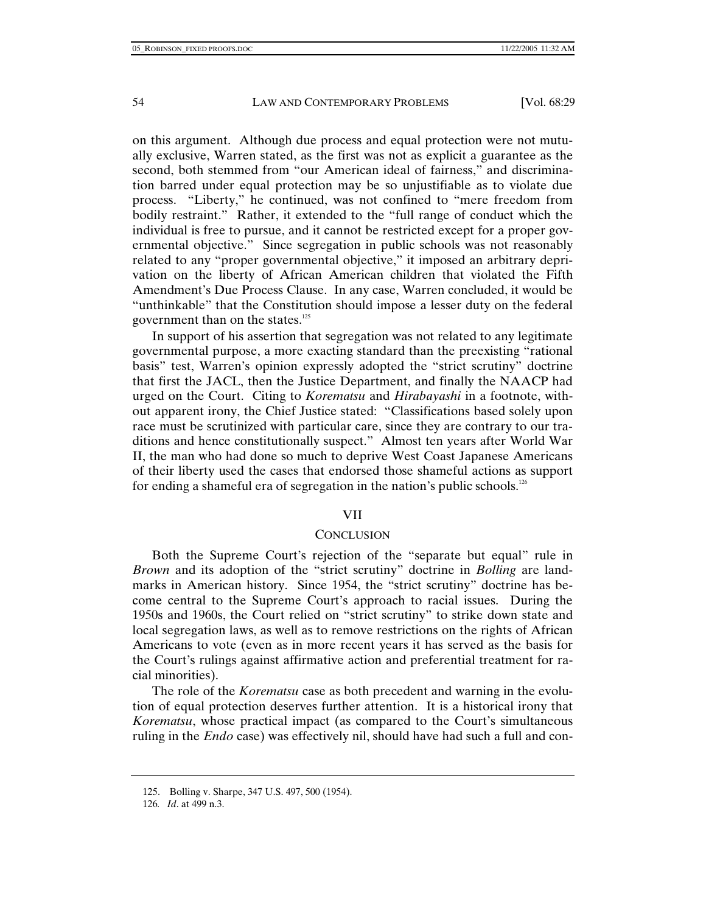on this argument. Although due process and equal protection were not mutually exclusive, Warren stated, as the first was not as explicit a guarantee as the second, both stemmed from "our American ideal of fairness," and discrimination barred under equal protection may be so unjustifiable as to violate due process. "Liberty," he continued, was not confined to "mere freedom from bodily restraint." Rather, it extended to the "full range of conduct which the individual is free to pursue, and it cannot be restricted except for a proper governmental objective." Since segregation in public schools was not reasonably related to any "proper governmental objective," it imposed an arbitrary deprivation on the liberty of African American children that violated the Fifth Amendment's Due Process Clause. In any case, Warren concluded, it would be "unthinkable" that the Constitution should impose a lesser duty on the federal government than on the states.<sup>125</sup>

In support of his assertion that segregation was not related to any legitimate governmental purpose, a more exacting standard than the preexisting "rational basis" test, Warren's opinion expressly adopted the "strict scrutiny" doctrine that first the JACL, then the Justice Department, and finally the NAACP had urged on the Court. Citing to *Korematsu* and *Hirabayashi* in a footnote, without apparent irony, the Chief Justice stated: "Classifications based solely upon race must be scrutinized with particular care, since they are contrary to our traditions and hence constitutionally suspect." Almost ten years after World War II, the man who had done so much to deprive West Coast Japanese Americans of their liberty used the cases that endorsed those shameful actions as support for ending a shameful era of segregation in the nation's public schools.<sup>126</sup>

#### VII

#### **CONCLUSION**

Both the Supreme Court's rejection of the "separate but equal" rule in *Brown* and its adoption of the "strict scrutiny" doctrine in *Bolling* are landmarks in American history. Since 1954, the "strict scrutiny" doctrine has become central to the Supreme Court's approach to racial issues. During the 1950s and 1960s, the Court relied on "strict scrutiny" to strike down state and local segregation laws, as well as to remove restrictions on the rights of African Americans to vote (even as in more recent years it has served as the basis for the Court's rulings against affirmative action and preferential treatment for racial minorities).

The role of the *Korematsu* case as both precedent and warning in the evolution of equal protection deserves further attention. It is a historical irony that *Korematsu*, whose practical impact (as compared to the Court's simultaneous ruling in the *Endo* case) was effectively nil, should have had such a full and con-

 <sup>125.</sup> Bolling v. Sharpe, 347 U.S. 497, 500 (1954).

<sup>126</sup>*. Id*. at 499 n.3.